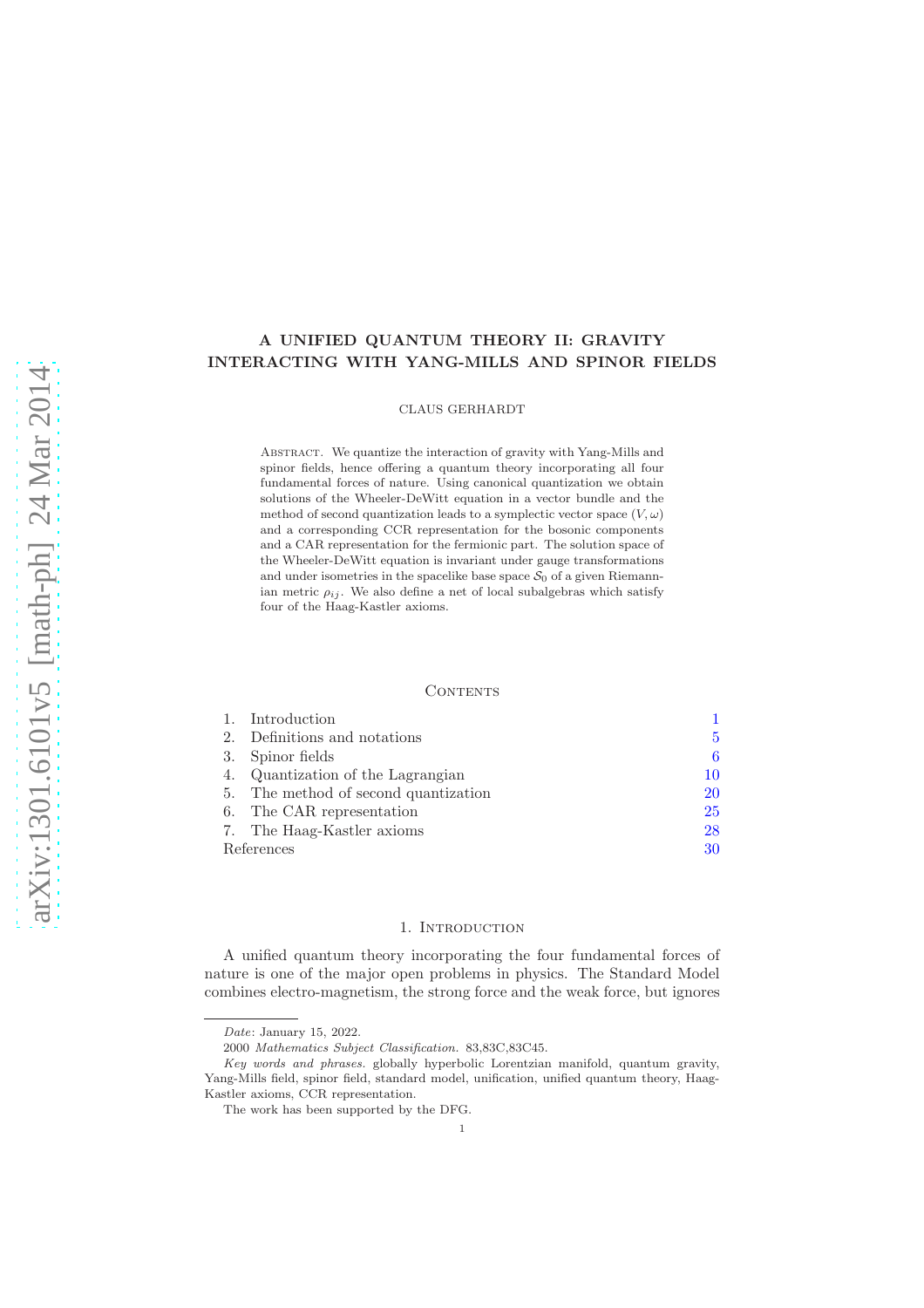# A UNIFIED QUANTUM THEORY II: GRAVITY INTERACTING WITH YANG-MILLS AND SPINOR FIELDS

CLAUS GERHARDT

Abstract. We quantize the interaction of gravity with Yang-Mills and spinor fields, hence offering a quantum theory incorporating all four fundamental forces of nature. Using canonical quantization we obtain solutions of the Wheeler-DeWitt equation in a vector bundle and the method of second quantization leads to a symplectic vector space  $(V, \omega)$ and a corresponding CCR representation for the bosonic components and a CAR representation for the fermionic part. The solution space of the Wheeler-DeWitt equation is invariant under gauge transformations and under isometries in the spacelike base space  $S_0$  of a given Riemannian metric  $\rho_{ij}$ . We also define a net of local subalgebras which satisfy four of the Haag-Kastler axioms.

#### **CONTENTS**

|            | 1. Introduction                   |    |
|------------|-----------------------------------|----|
| 2.         | Definitions and notations         | 5  |
| 3.         | Spinor fields                     | 6  |
| 4.         | Quantization of the Lagrangian    | 10 |
| 5.         | The method of second quantization | 20 |
|            | 6. The CAR representation         | 25 |
|            | 7. The Haag-Kastler axioms        | 28 |
| References |                                   | 30 |

#### 1. INTRODUCTION

<span id="page-0-0"></span>A unified quantum theory incorporating the four fundamental forces of nature is one of the major open problems in physics. The Standard Model combines electro-magnetism, the strong force and the weak force, but ignores

1

Date: January 15, 2022.

<sup>2000</sup> Mathematics Subject Classification. 83,83C,83C45.

Key words and phrases. globally hyperbolic Lorentzian manifold, quantum gravity, Yang-Mills field, spinor field, standard model, unification, unified quantum theory, Haag-Kastler axioms, CCR representation.

The work has been supported by the DFG.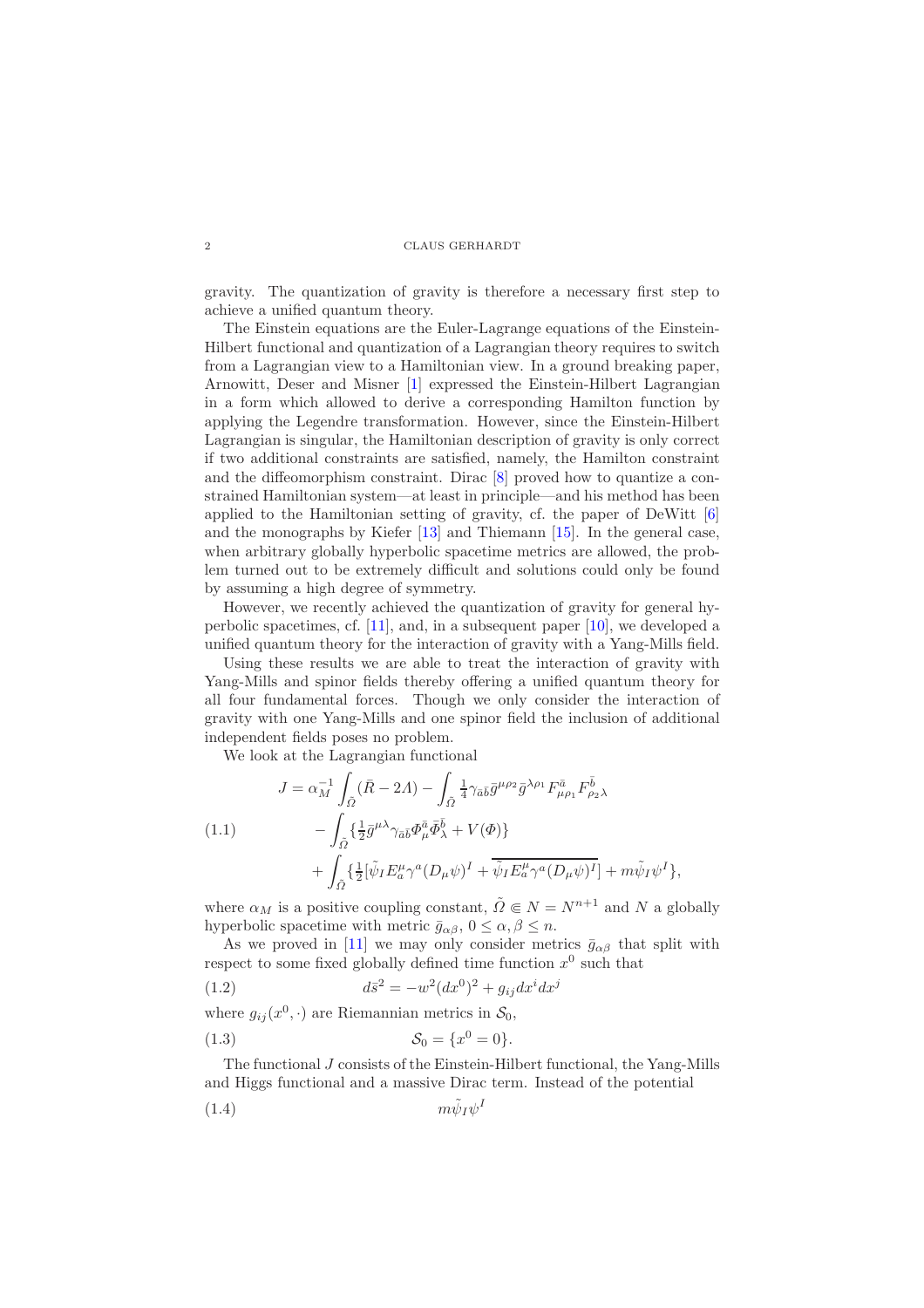gravity. The quantization of gravity is therefore a necessary first step to achieve a unified quantum theory.

The Einstein equations are the Euler-Lagrange equations of the Einstein-Hilbert functional and quantization of a Lagrangian theory requires to switch from a Lagrangian view to a Hamiltonian view. In a ground breaking paper, Arnowitt, Deser and Misner [\[1\]](#page-29-1) expressed the Einstein-Hilbert Lagrangian in a form which allowed to derive a corresponding Hamilton function by applying the Legendre transformation. However, since the Einstein-Hilbert Lagrangian is singular, the Hamiltonian description of gravity is only correct if two additional constraints are satisfied, namely, the Hamilton constraint and the diffeomorphism constraint. Dirac [\[8\]](#page-29-2) proved how to quantize a constrained Hamiltonian system—at least in principle—and his method has been applied to the Hamiltonian setting of gravity, cf. the paper of DeWitt [\[6\]](#page-29-3) and the monographs by Kiefer [\[13\]](#page-29-4) and Thiemann [\[15\]](#page-29-5). In the general case, when arbitrary globally hyperbolic spacetime metrics are allowed, the problem turned out to be extremely difficult and solutions could only be found by assuming a high degree of symmetry.

However, we recently achieved the quantization of gravity for general hyperbolic spacetimes, cf. [\[11\]](#page-29-6), and, in a subsequent paper [\[10\]](#page-29-7), we developed a unified quantum theory for the interaction of gravity with a Yang-Mills field.

Using these results we are able to treat the interaction of gravity with Yang-Mills and spinor fields thereby offering a unified quantum theory for all four fundamental forces. Though we only consider the interaction of gravity with one Yang-Mills and one spinor field the inclusion of additional independent fields poses no problem.

We look at the Lagrangian functional

<span id="page-1-1"></span>(1.1)  
\n
$$
J = \alpha_M^{-1} \int_{\tilde{\Omega}} (\bar{R} - 2A) - \int_{\tilde{\Omega}} \frac{1}{4} \gamma_{\bar{a}\bar{b}} \bar{g}^{\mu \rho_2} \bar{g}^{\lambda \rho_1} F^{\bar{a}}_{\mu \rho_1} F^{\bar{b}}_{\rho_2 \lambda}
$$
\n
$$
- \int_{\tilde{\Omega}} \{ \frac{1}{2} \bar{g}^{\mu \lambda} \gamma_{\bar{a}\bar{b}} \Phi^{\bar{a}}_{\mu} \bar{\Phi}^{\bar{b}}_{\lambda} + V(\Phi) \} + \int_{\tilde{\Omega}} \{ \frac{1}{2} [\tilde{\psi}_I E^{\mu}_{\bar{a}} \gamma^a (D_{\mu} \psi)^I + \overline{\tilde{\psi}_I E^{\mu}_{\bar{a}} \gamma^a (D_{\mu} \psi)^I}] + m \tilde{\psi}_I \psi^I \},
$$

where  $\alpha_M$  is a positive coupling constant,  $\tilde{\Omega} \in N = N^{n+1}$  and N a globally hyperbolic spacetime with metric  $\bar{g}_{\alpha\beta}$ ,  $0 \leq \alpha, \beta \leq n$ .

As we proved in [\[11\]](#page-29-6) we may only consider metrics  $\bar{g}_{\alpha\beta}$  that split with respect to some fixed globally defined time function  $x^0$  such that

<span id="page-1-0"></span>(1.2) 
$$
d\bar{s}^2 = -w^2 (dx^0)^2 + g_{ij} dx^i dx^j
$$

where  $g_{ij}(x^0, \cdot)$  are Riemannian metrics in  $S_0$ ,

(1.3) 
$$
S_0 = \{x^0 = 0\}.
$$

The functional J consists of the Einstein-Hilbert functional, the Yang-Mills and Higgs functional and a massive Dirac term. Instead of the potential

$$
(1.4) \t m\tilde{\psi}_I \psi^I
$$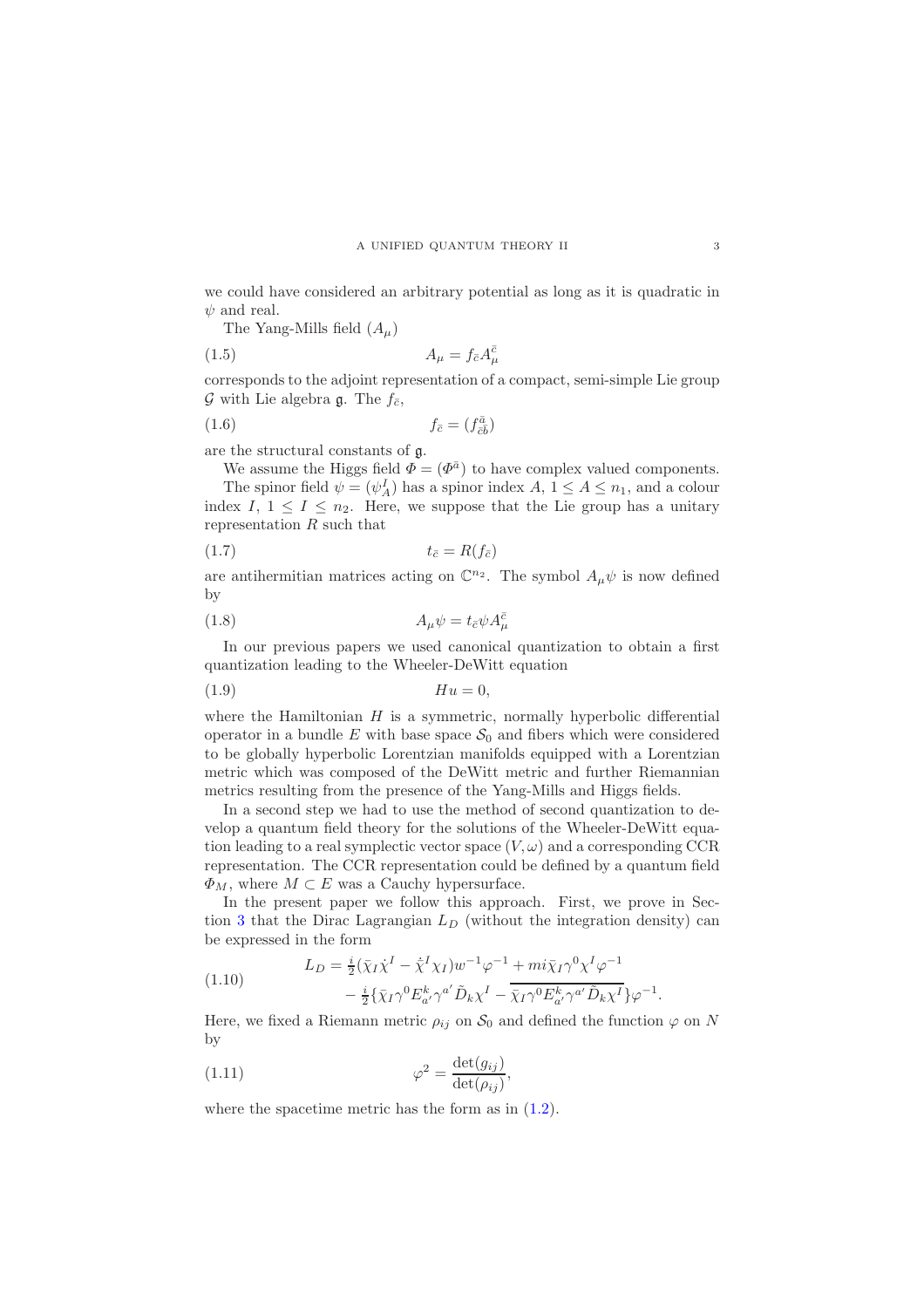we could have considered an arbitrary potential as long as it is quadratic in  $\psi$  and real.

The Yang-Mills field  $(A_\mu)$ 

$$
(1.5) \t\t A_{\mu} = f_{\bar{c}} A_{\mu}^{\bar{c}}
$$

corresponds to the adjoint representation of a compact, semi-simple Lie group  $\mathcal G$  with Lie algebra  $\mathfrak g$ . The  $f_{\bar c}$ ,

$$
(1.6) \t\t f_{\bar{c}} = (f_{\bar{c}\bar{b}}^{\bar{a}})
$$

are the structural constants of g.

We assume the Higgs field  $\Phi = (\Phi^{\bar{a}})$  to have complex valued components. The spinor field  $\psi = (\psi_A^I)$  has a spinor index  $A, 1 \le A \le n_1$ , and a colour index I,  $1 \leq I \leq n_2$ . Here, we suppose that the Lie group has a unitary representation  $R$  such that

$$
(1.7) \t\t t_{\bar{c}} = R(f_{\bar{c}})
$$

are antihermitian matrices acting on  $\mathbb{C}^{n_2}$ . The symbol  $A_\mu \psi$  is now defined by

$$
(1.8)\qquad \qquad A_{\mu}\psi = t_{\bar{c}}\psi A_{\mu}^{\bar{c}}
$$

In our previous papers we used canonical quantization to obtain a first quantization leading to the Wheeler-DeWitt equation

(1.9) Hu = 0,

where the Hamiltonian  $H$  is a symmetric, normally hyperbolic differential operator in a bundle E with base space  $S_0$  and fibers which were considered to be globally hyperbolic Lorentzian manifolds equipped with a Lorentzian metric which was composed of the DeWitt metric and further Riemannian metrics resulting from the presence of the Yang-Mills and Higgs fields.

In a second step we had to use the method of second quantization to develop a quantum field theory for the solutions of the Wheeler-DeWitt equation leading to a real symplectic vector space  $(V, \omega)$  and a corresponding CCR representation. The CCR representation could be defined by a quantum field  $\Phi_M$ , where  $M \subset E$  was a Cauchy hypersurface.

In the present paper we follow this approach. First, we prove in Sec-tion [3](#page-5-0) that the Dirac Lagrangian  $L_D$  (without the integration density) can be expressed in the form

(1.10) 
$$
L_D = \frac{i}{2} (\bar{\chi}_I \dot{\chi}^I - \dot{\bar{\chi}}^I \chi_I) w^{-1} \varphi^{-1} + m i \bar{\chi}_I \gamma^0 \chi^I \varphi^{-1} - \frac{i}{2} {\bar{\chi}_I} \gamma^0 E^k_{a'} \gamma^{a'} \tilde{D}_k \chi^I - \bar{\chi}_I \gamma^0 E^k_{a'} \gamma^{a'} \tilde{D}_k \chi^I \} \varphi^{-1}
$$

Here, we fixed a Riemann metric  $\rho_{ij}$  on  $S_0$  and defined the function  $\varphi$  on N by

<span id="page-2-0"></span>(1.11) 
$$
\varphi^2 = \frac{\det(g_{ij})}{\det(\rho_{ij})},
$$

where the spacetime metric has the form as in [\(1.2\)](#page-1-0).

.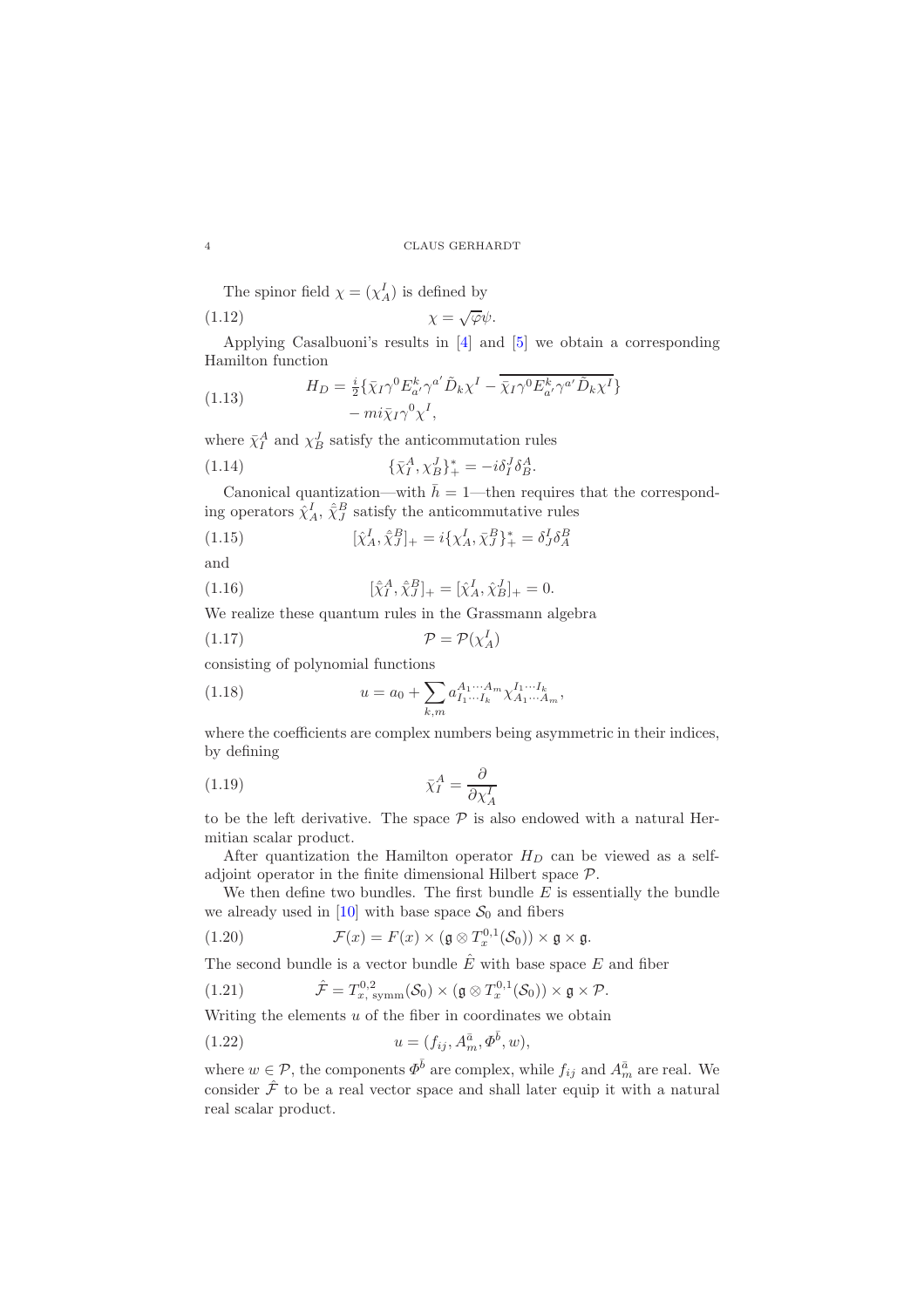The spinor field  $\chi = (\chi_A^I)$  is defined by

$$
\chi = \sqrt{\varphi} \psi.
$$

Applying Casalbuoni's results in [\[4\]](#page-29-8) and [\[5\]](#page-29-9) we obtain a corresponding Hamilton function

(1.13) 
$$
H_D = \frac{i}{2} \{ \bar{\chi}_I \gamma^0 E_{a'}^k \gamma^{a'} \tilde{D}_k \chi^I - \overline{\bar{\chi}_I \gamma^0 E_{a'}^k \gamma^{a'} \tilde{D}_k \chi^I} - m i \bar{\chi}_I \gamma^0 \chi^I,
$$

where  $\bar{\chi}_I^A$  and  $\chi_B^J$  satisfy the anticommutation rules

(1.14) 
$$
\{\bar{\chi}_I^A, \chi_B^J\}_+^* = -i\delta_I^J \delta_B^A.
$$

Canonical quantization—with  $\bar{h} = 1$ —then requires that the corresponding operators  $\hat{\chi}^I_A$ ,  $\hat{\bar{\chi}}^B_J$  satisfy the anticommutative rules

(1.15) 
$$
[\hat{\chi}_A^I, \hat{\chi}_J^B]_+ = i\{\chi_A^I, \bar{\chi}_J^B\}_+^* = \delta_J^I \delta_A^B
$$

and

(1.16) 
$$
[\hat{\chi}_I^A, \hat{\chi}_J^B]_+ = [\hat{\chi}_A^I, \hat{\chi}_B^J]_+ = 0.
$$

We realize these quantum rules in the Grassmann algebra

$$
(1.17)\t\t\t\t\mathcal{P} = \mathcal{P}(\chi_A^I)
$$

consisting of polynomial functions

(1.18) 
$$
u = a_0 + \sum_{k,m} a_{I_1 \cdots I_k}^{A_1 \cdots A_m} \chi_{A_1 \cdots A_m}^{I_1 \cdots I_k},
$$

where the coefficients are complex numbers being asymmetric in their indices, by defining

$$
\bar{\chi}_I^A = \frac{\partial}{\partial \chi_A^I}
$$

to be the left derivative. The space  $P$  is also endowed with a natural Hermitian scalar product.

After quantization the Hamilton operator  $H_D$  can be viewed as a selfadjoint operator in the finite dimensional Hilbert space P.

We then define two bundles. The first bundle  $E$  is essentially the bundle we already used in [\[10\]](#page-29-7) with base space  $S_0$  and fibers

(1.20) 
$$
\mathcal{F}(x) = F(x) \times (\mathfrak{g} \otimes T_x^{0,1}(\mathcal{S}_0)) \times \mathfrak{g} \times \mathfrak{g}.
$$

The second bundle is a vector bundle  $\hat{E}$  with base space E and fiber

(1.21) 
$$
\hat{\mathcal{F}} = T_{x, \text{ symm}}^{0,2}(\mathcal{S}_0) \times (\mathfrak{g} \otimes T_x^{0,1}(\mathcal{S}_0)) \times \mathfrak{g} \times \mathcal{P}.
$$

Writing the elements  $u$  of the fiber in coordinates we obtain

(1.22) 
$$
u = (f_{ij}, A_m^{\bar{a}}, \Phi^{\bar{b}}, w),
$$

where  $w \in \mathcal{P}$ , the components  $\Phi^{\bar{b}}$  are complex, while  $f_{ij}$  and  $A_m^{\bar{a}}$  are real. We consider  $\hat{\mathcal{F}}$  to be a real vector space and shall later equip it with a natural real scalar product.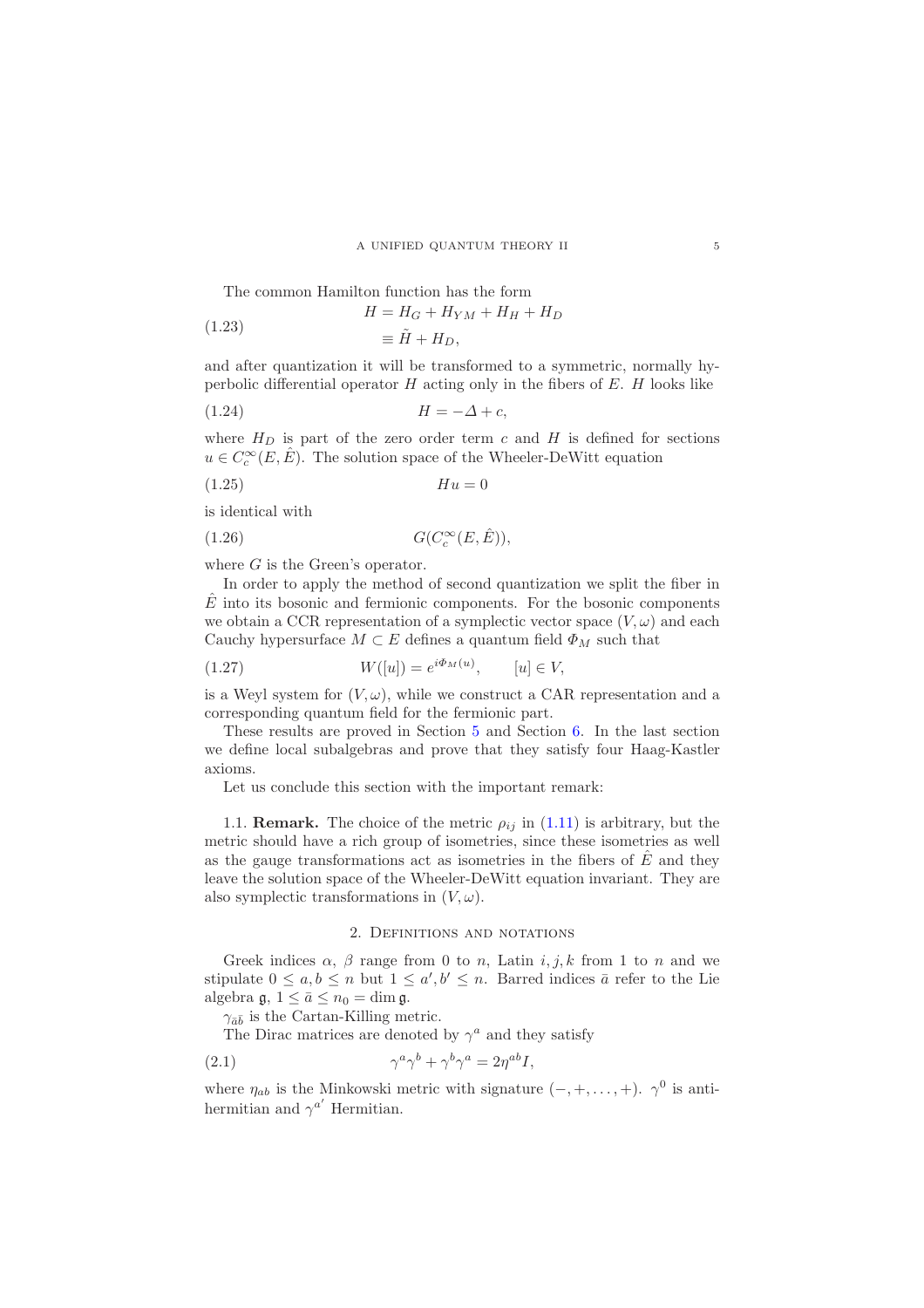The common Hamilton function has the form

(1.23) 
$$
H = H_G + H_{YM} + H_H + H_D
$$

$$
\equiv \tilde{H} + H_D.
$$

and after quantization it will be transformed to a symmetric, normally hyperbolic differential operator  $H$  acting only in the fibers of  $E$ .  $H$  looks like

$$
(1.24) \t\t H = -\Delta + c,
$$

where  $H_D$  is part of the zero order term c and H is defined for sections  $u \in C_c^{\infty}(E, \hat{E})$ . The solution space of the Wheeler-DeWitt equation

(1.25) Hu = 0

is identical with

$$
(1.26) \tG(C_c^{\infty}(E, \hat{E})),
$$

where  $G$  is the Green's operator.

In order to apply the method of second quantization we split the fiber in  $\hat{E}$  into its bosonic and fermionic components. For the bosonic components we obtain a CCR representation of a symplectic vector space  $(V, \omega)$  and each Cauchy hypersurface  $M \subset E$  defines a quantum field  $\Phi_M$  such that

(1.27) 
$$
W([u]) = e^{i\Phi_M(u)}, \qquad [u] \in V,
$$

is a Weyl system for  $(V, \omega)$ , while we construct a CAR representation and a corresponding quantum field for the fermionic part.

These results are proved in Section [5](#page-19-0) and Section [6.](#page-24-0) In the last section we define local subalgebras and prove that they satisfy four Haag-Kastler axioms.

Let us conclude this section with the important remark:

1.1. **Remark.** The choice of the metric  $\rho_{ij}$  in [\(1.11\)](#page-2-0) is arbitrary, but the metric should have a rich group of isometries, since these isometries as well as the gauge transformations act as isometries in the fibers of  $\hat{E}$  and they leave the solution space of the Wheeler-DeWitt equation invariant. They are also symplectic transformations in  $(V, \omega)$ .

### 2. Definitions and notations

<span id="page-4-0"></span>Greek indices  $\alpha$ ,  $\beta$  range from 0 to n, Latin i, j, k from 1 to n and we stipulate  $0 \le a, b \le n$  but  $1 \le a', b' \le n$ . Barred indices  $\bar{a}$  refer to the Lie algebra  $\mathfrak{g}, 1 \leq \bar{a} \leq n_0 = \dim \mathfrak{g}.$ 

 $\gamma_{\bar{a}\bar{b}}$  is the Cartan-Killing metric.

The Dirac matrices are denoted by  $\gamma^a$  and they satisfy

(2.1) 
$$
\gamma^a \gamma^b + \gamma^b \gamma^a = 2 \eta^{ab} I,
$$

where  $\eta_{ab}$  is the Minkowski metric with signature  $(-, +, \ldots, +)$ .  $\gamma^0$  is antihermitian and  $\gamma^{a'}$  Hermitian.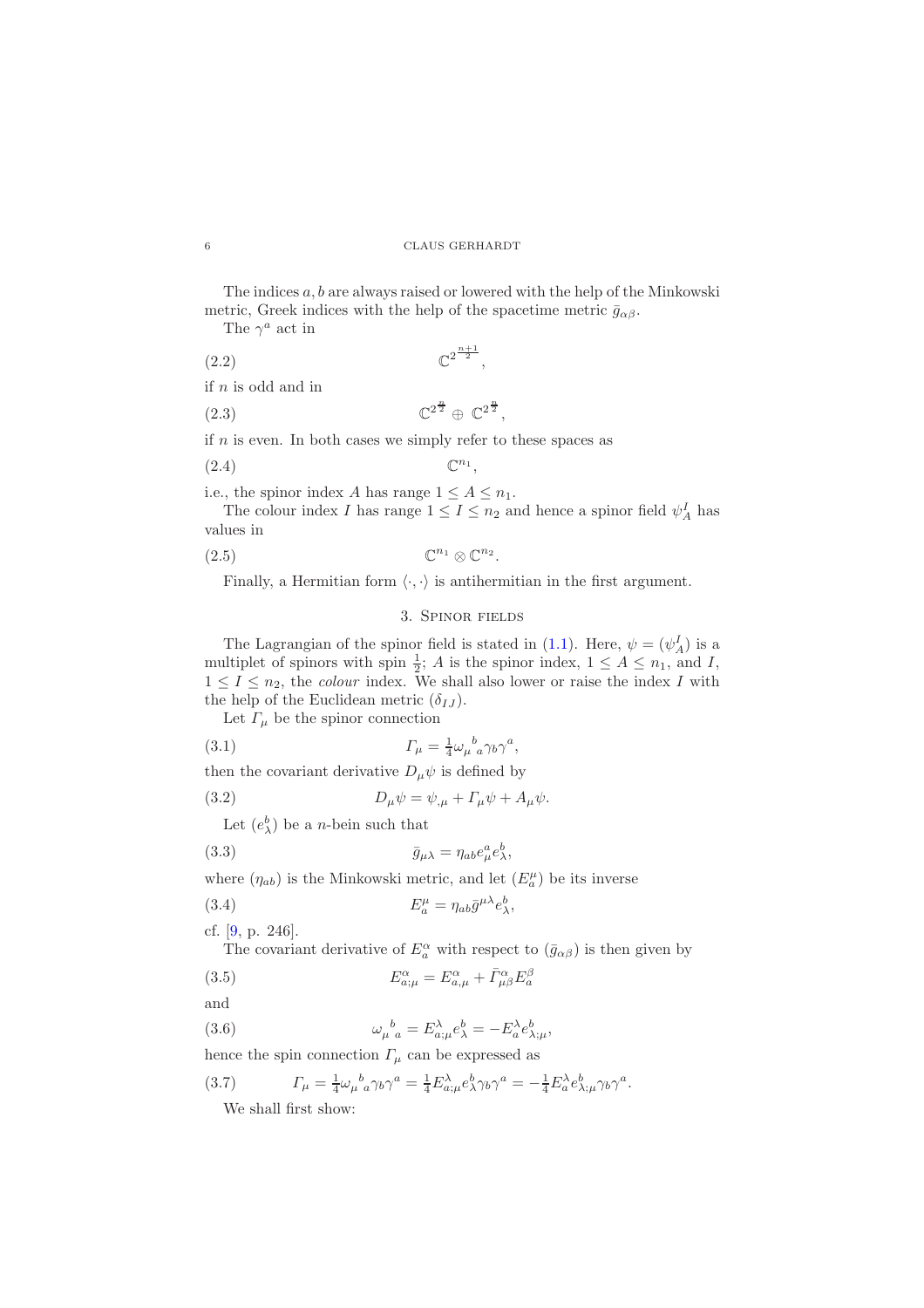The indices  $a, b$  are always raised or lowered with the help of the Minkowski metric, Greek indices with the help of the spacetime metric  $\bar{g}_{\alpha\beta}$ .

The  $\gamma^a$  act in

$$
(2.2) \t\t\t\t\mathbb{C}^2^{\frac{n+1}{2}},
$$

if n is odd and in

$$
(2.3) \t\t\t\t\mathbb{C}^{2^{\frac{n}{2}}} \oplus \mathbb{C}^{2^{\frac{n}{2}}},
$$

if  $n$  is even. In both cases we simply refer to these spaces as

$$
(2.4) \t\t \mathbb{C}^{n_1},
$$

i.e., the spinor index A has range  $1 \leq A \leq n_1$ .

The colour index I has range  $1 \leq I \leq n_2$  and hence a spinor field  $\psi_A^I$  has values in

$$
(2.5) \t\t \mathbb{C}^{n_1} \otimes \mathbb{C}^{n_2}.
$$

<span id="page-5-0"></span>Finally, a Hermitian form  $\langle \cdot, \cdot \rangle$  is antihermitian in the first argument.

### 3. Spinor fields

The Lagrangian of the spinor field is stated in [\(1.1\)](#page-1-1). Here,  $\psi = (\psi_A^I)$  is a multiplet of spinors with spin  $\frac{1}{2}$ ; A is the spinor index,  $1 \leq A \leq n_1$ , and I,  $1 \leq I \leq n_2$ , the *colour* index. We shall also lower or raise the index I with the help of the Euclidean metric  $(\delta_{IJ})$ .

Let  $\varGamma_{\mu}$  be the spinor connection

(3.1) 
$$
\Gamma_{\mu} = \frac{1}{4} \omega_{\mu}{}^{b}{}_{a} \gamma_{b} \gamma^{a},
$$

then the covariant derivative  $D_{\mu}\psi$  is defined by

(3.2) 
$$
D_{\mu}\psi = \psi_{,\mu} + \Gamma_{\mu}\psi + A_{\mu}\psi.
$$

Let  $(e_{\lambda}^{b})$  be a *n*-bein such that

(3.3) 
$$
\bar{g}_{\mu\lambda} = \eta_{ab} e^a_\mu e^b_\lambda,
$$

where  $(\eta_{ab})$  is the Minkowski metric, and let  $(E^{\mu}_{a})$  be its inverse

(3.4) 
$$
E_a^{\mu} = \eta_{ab}\bar{g}^{\mu\lambda}e_{\lambda}^b,
$$

cf. [\[9,](#page-29-10) p. 246].

The covariant derivative of  $E_a^{\alpha}$  with respect to  $(\bar{g}_{\alpha\beta})$  is then given by

,

(3.5) 
$$
E_{a;\mu}^{\alpha} = E_{a;\mu}^{\alpha} + \bar{\Gamma}_{\mu\beta}^{\alpha} E_a^{\beta}
$$

and

(3.6) 
$$
\omega_{\mu}{}^{b}{}_{a} = E^{\lambda}_{a;\mu} e^b_{\lambda} = -E^{\lambda}_{a} e^b_{\lambda;\mu}
$$

hence the spin connection  $\Gamma_{\mu}$  can be expressed as

(3.7) 
$$
\Gamma_{\mu} = \frac{1}{4} \omega_{\mu}{}^{b}{}_{a} \gamma_{b} \gamma^{a} = \frac{1}{4} E^{\lambda}_{a;\mu} e^b_{\lambda} \gamma_{b} \gamma^{a} = -\frac{1}{4} E^{\lambda}_{a} e^b_{\lambda;\mu} \gamma_{b} \gamma^{a}.
$$

We shall first show: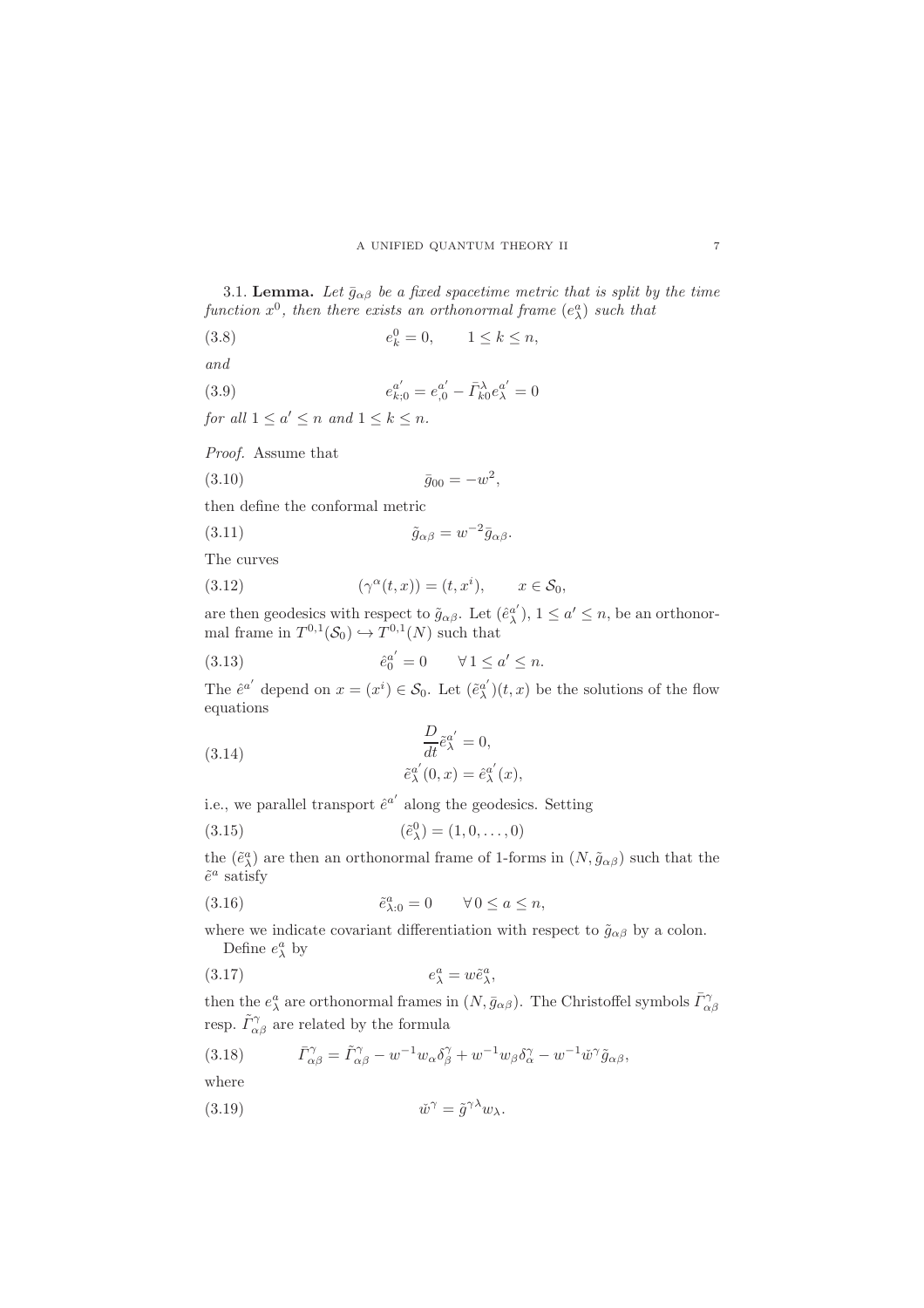<span id="page-6-2"></span>3.1. Lemma. Let  $\bar{g}_{\alpha\beta}$  be a fixed spacetime metric that is split by the time function  $x^0$ , then there exists an orthonormal frame  $(e_{\lambda}^a)$  such that

(3.8) 
$$
e_k^0 = 0, \t 1 \le k \le n,
$$

and

(3.9) 
$$
e_{k;0}^{a'} = e_{,0}^{a'} - \bar{\Gamma}_{k0}^{\lambda} e_{\lambda}^{a'} = 0
$$

for all  $1 \leq a' \leq n$  and  $1 \leq k \leq n$ .

Proof. Assume that

$$
(3.10) \t\t \bar{g}_{00} = -w^2,
$$

then define the conformal metric

$$
\tilde{g}_{\alpha\beta} = w^{-2} \bar{g}_{\alpha\beta}.
$$

The curves

(3.12) 
$$
(\gamma^{\alpha}(t,x)) = (t,x^i), \qquad x \in \mathcal{S}_0,
$$

are then geodesics with respect to  $\tilde{g}_{\alpha\beta}$ . Let  $(\hat{e}_{\lambda}^{\alpha'} )$  $\alpha^a_{\lambda}$ ,  $1 \leq a' \leq n$ , be an orthonormal frame in  $T^{0,1}(\mathcal{S}_0) \hookrightarrow T^{0,1}(N)$  such that

(3.13) 
$$
\hat{e}_0^{a'} = 0 \quad \forall 1 \le a' \le n.
$$

The  $\hat{e}^{a'}$  depend on  $x = (x^i) \in \mathcal{S}_0$ . Let  $(\tilde{e}_{\lambda}^{a'}$  $_{\lambda}^{a'}$   $(t, x)$  be the solutions of the flow equations

(3.14) 
$$
\frac{D}{dt}\tilde{e}_{\lambda}^{a'} = 0,
$$

$$
\tilde{e}_{\lambda}^{a'}(0, x) = \hat{e}_{\lambda}^{a'}(x),
$$

i.e., we parallel transport  $\hat{e}^{a'}$  along the geodesics. Setting

(3.15) 
$$
(\tilde{e}^0_\lambda) = (1, 0, \dots, 0)
$$

the  $(\tilde{e}^a_\lambda)$  are then an orthonormal frame of 1-forms in  $(N, \tilde{g}_{\alpha\beta})$  such that the  $\tilde{e}^a$  satisfy

<span id="page-6-0"></span>(3.16) 
$$
\tilde{e}_{\lambda:0}^a = 0 \qquad \forall \, 0 \le a \le n,
$$

where we indicate covariant differentiation with respect to  $\tilde{g}_{\alpha\beta}$  by a colon. Define  $e^a_\lambda$  by

$$
(3.17) \t\t e_{\lambda}^a = w \tilde{e}_{\lambda}^a,
$$

then the  $e^a_\lambda$  are orthonormal frames in  $(N, \bar{g}_{\alpha\beta})$ . The Christoffel symbols  $\bar{\Gamma}^{\gamma}_{\alpha\beta}$ resp.  $\tilde{\Gamma}_{\alpha\beta}^{\gamma}$  are related by the formula

<span id="page-6-1"></span>(3.18) 
$$
\bar{\Gamma}_{\alpha\beta}^{\gamma} = \tilde{\Gamma}_{\alpha\beta}^{\gamma} - w^{-1} w_{\alpha} \delta_{\beta}^{\gamma} + w^{-1} w_{\beta} \delta_{\alpha}^{\gamma} - w^{-1} \check{w}^{\gamma} \tilde{g}_{\alpha\beta},
$$

where

(3.19) 
$$
\tilde{w}^{\gamma} = \tilde{g}^{\gamma \lambda} w_{\lambda}.
$$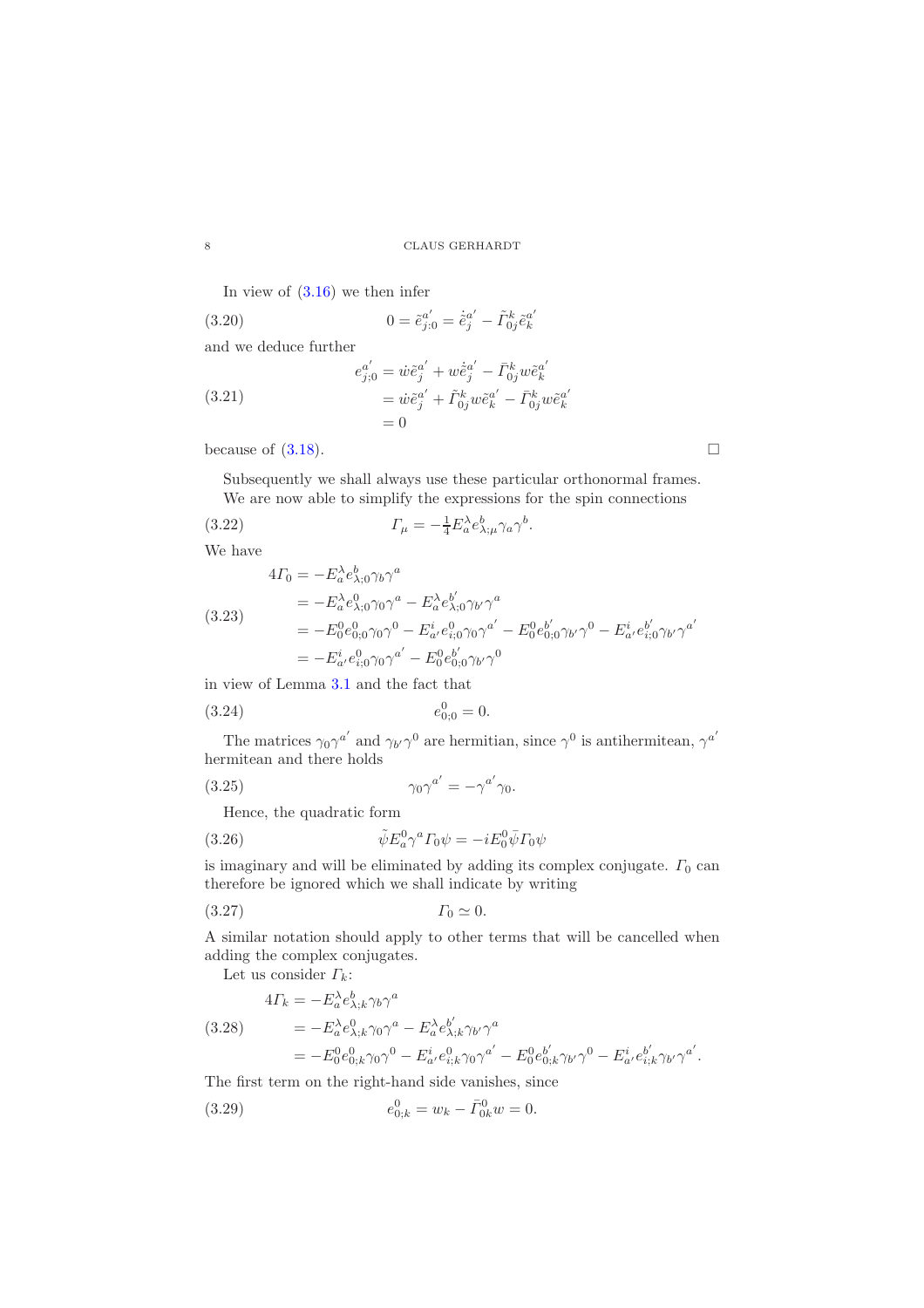In view of [\(3.16\)](#page-6-0) we then infer

(3.20) 
$$
0 = \tilde{e}_{j:0}^{a'} = \dot{\tilde{e}}_{j}^{a'} - \tilde{\Gamma}_{0j}^{k} \tilde{e}_{k}^{a'}
$$
  
and we deduce further  

$$
e_{j;0}^{a'} = \dot{w}\tilde{e}_{j}^{a'} + w\dot{\tilde{e}}_{j}^{a'} - \bar{\Gamma}_{0j}^{k} w \tilde{e}_{k}^{a'}
$$
  

$$
= \dot{w}\tilde{e}_{j}^{a'} + \tilde{\Gamma}_{0j}^{k} w \tilde{e}_{k}^{a'} - \bar{\Gamma}_{0j}^{k} w \tilde{e}_{k}^{a'}
$$

 $= 0$ 

because of  $(3.18)$ .

Subsequently we shall always use these particular orthonormal frames.

k

We are now able to simplify the expressions for the spin connections

(3.22) 
$$
\Gamma_{\mu} = -\frac{1}{4} E_{a}^{\lambda} e_{\lambda;\mu}^{b} \gamma_{a} \gamma^{b}.
$$

We have

 $(3.25)$ 

$$
4\Gamma_0 = -E_a^{\lambda} e_{\lambda;0}^b \gamma^a
$$
  
=  $-E_a^{\lambda} e_{\lambda;0}^0 \gamma_0 \gamma^a - E_a^{\lambda} e_{\lambda;0}^b \gamma_0 \gamma^a$   
=  $-E_0^0 e_{0;0}^0 \gamma_0 \gamma^0 - E_a^i e_{i;0}^0 \gamma_0 \gamma^a - E_0^0 e_{0;0}^b \gamma_0 \gamma_0 \gamma^0 - E_a^i e_{i;0}^b \gamma_0 \gamma_0 \gamma^a$   
=  $-E_a^i e_{i;0}^0 \gamma_0 \gamma^a - E_0^0 e_{0;0}^b \gamma_0 \gamma^0$ 

in view of Lemma [3.1](#page-6-2) and the fact that

λ

$$
(3.24) \t\t e_{0;0}^0 = 0.
$$

The matrices  $\gamma_0 \gamma^{a'}$  and  $\gamma_{b'} \gamma^0$  are hermitian, since  $\gamma^0$  is antihermitean,  $\gamma^{a'}$ hermitean and there holds

$$
\gamma_0\gamma^{a'}=-\gamma^{a'}\gamma_0.
$$

Hence, the quadratic form

(3.26) 
$$
\tilde{\psi} E_a^0 \gamma^a \Gamma_0 \psi = -i E_0^0 \bar{\psi} \Gamma_0 \psi
$$

is imaginary and will be eliminated by adding its complex conjugate.  $\Gamma_0$  can therefore be ignored which we shall indicate by writing

(3.27) Γ<sup>0</sup> ≃ 0.

A similar notation should apply to other terms that will be cancelled when adding the complex conjugates.

Let us consider  $\Gamma_k$ :

$$
4\Gamma_k = -E_a^{\lambda} e_{\lambda;k}^b \gamma_b \gamma^a
$$
  
(3.28)  

$$
= -E_a^{\lambda} e_{\lambda;k}^0 \gamma_0 \gamma^a - E_a^{\lambda} e_{\lambda;k}^b \gamma_{b'} \gamma^a
$$
  

$$
= -E_0^0 e_{0;k}^0 \gamma_0 \gamma^0 - E_a^i e_{i;k}^0 \gamma_0 \gamma^{a'} - E_0^0 e_{0;k}^{b'} \gamma_{b'} \gamma^0 - E_a^i e_{i;k}^{b'} \gamma_{b'} \gamma^{a'}.
$$

The first term on the right-hand side vanishes, since

(3.29) 
$$
e_{0;k}^0 = w_k - \bar{\Gamma}_{0k}^0 w = 0.
$$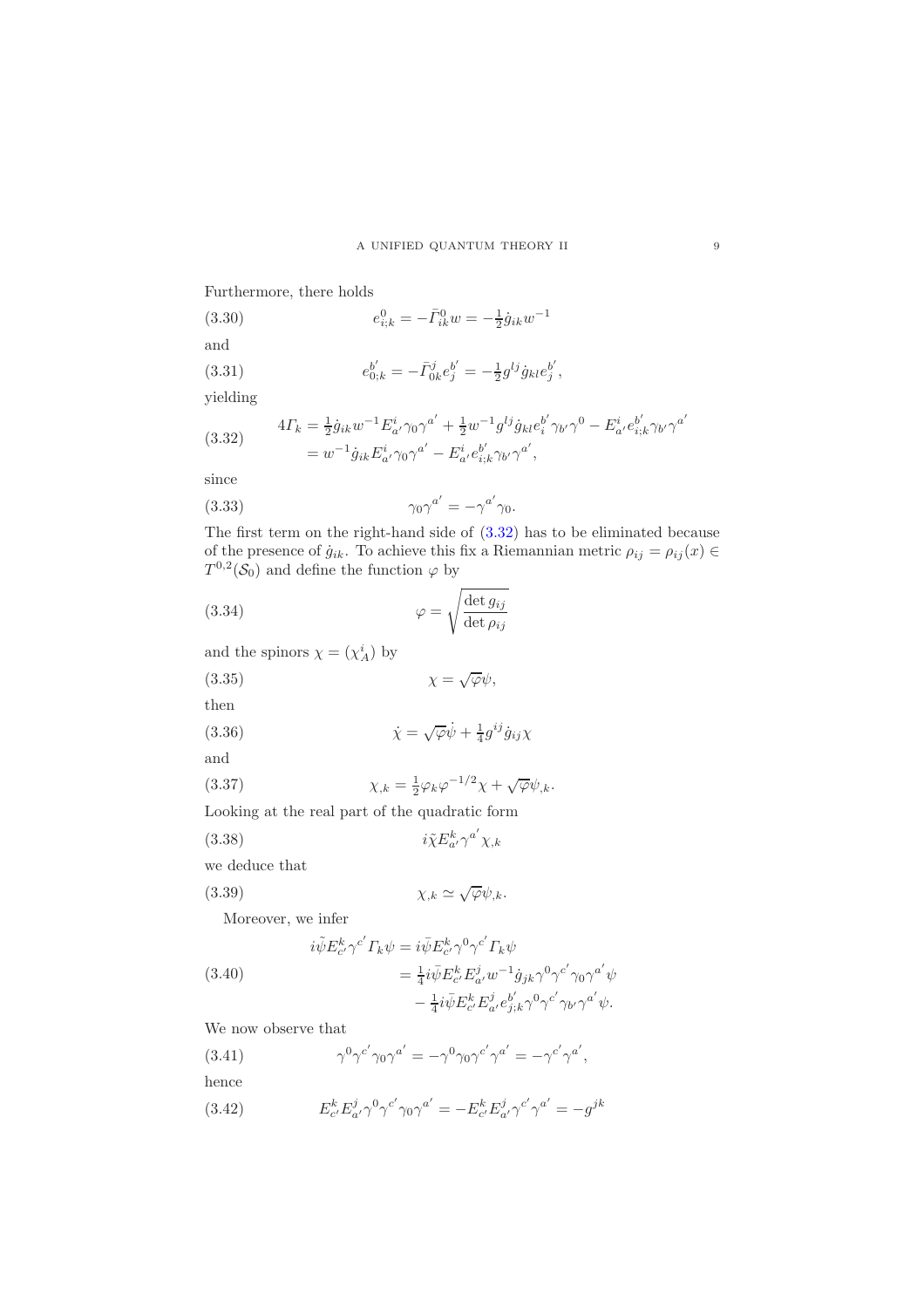Furthermore, there holds

(3.30)  
\n
$$
e_{i;k}^{0} = -\bar{I}_{ik}^{0} w = -\frac{1}{2} \dot{g}_{ik} w^{-1}
$$
\nand  
\n(3.31)  
\n
$$
e_{0;k}^{b'} = -\bar{I}_{0k}^{j} e_{j}^{b'} = -\frac{1}{2} g^{lj} \dot{g}_{kl} e_{j}^{b'},
$$

yielding

<span id="page-8-0"></span>(3.32) 
$$
4\Gamma_k = \frac{1}{2}\dot{g}_{ik}w^{-1}E^i_{a'}\gamma_0\gamma^{a'} + \frac{1}{2}w^{-1}g^{lj}\dot{g}_{kl}e^{b'}_i\gamma_{b'}\gamma^0 - E^i_{a'}e^{b'}_{i;k}\gamma_{b'}\gamma^{a'} = w^{-1}\dot{g}_{ik}E^i_{a'}\gamma_0\gamma^{a'} - E^i_{a'}e^{b'}_{i;k}\gamma_{b'}\gamma^{a'},
$$

since

(3.33) 
$$
\gamma_0 \gamma^{a'} = -\gamma^{a'} \gamma_0.
$$

The first term on the right-hand side of [\(3.32\)](#page-8-0) has to be eliminated because of the presence of  $\dot{g}_{ik}$ . To achieve this fix a Riemannian metric  $\rho_{ij} = \rho_{ij}(x) \in$  $T^{0,2}(\mathcal{S}_0)$  and define the function  $\varphi$  by

<span id="page-8-1"></span> $a' \gamma^{a'} \chi_{k}$ 

(3.34) 
$$
\varphi = \sqrt{\frac{\det g_{ij}}{\det \rho_{ij}}}
$$

and the spinors  $\chi = (\chi_A^i)$  by

(3.35) χ = √ ϕψ,

then

(3.36) 
$$
\dot{\chi} = \sqrt{\varphi} \dot{\psi} + \frac{1}{4} g^{ij} \dot{g}_{ij} \chi
$$
 and

(3.37) 
$$
\chi_{,k} = \frac{1}{2} \varphi_k \varphi^{-1/2} \chi + \sqrt{\varphi} \psi_{,k}.
$$

Looking at the real part of the quadratic form

 $(3.38)$ 

we deduce that

(3.39) χ,k ≃ √ ϕψ,k.

Moreover, we infer

(3.40)  
\n
$$
i\tilde{\psi}E_{c'}^k\gamma^{c'}\Gamma_k\psi = i\bar{\psi}E_{c'}^k\gamma^0\gamma^{c'}\Gamma_k\psi
$$
\n
$$
= \frac{1}{4}i\bar{\psi}E_{c'}^kE_{a'}^jw^{-1}\dot{g}_{jk}\gamma^0\gamma^{c'}\gamma_0\gamma^{a'}\psi
$$
\n
$$
- \frac{1}{4}i\bar{\psi}E_{c'}^kE_{a'}^j\epsilon_{j;k}^{b'}\gamma^0\gamma^{c'}\gamma_{b'}\gamma^{a'}\psi.
$$

We now observe that

- $(3.41)$  ${}^{0}\gamma^{c'}\gamma_0\gamma^{a'} = -\gamma^0\gamma_0\gamma^{c'}\gamma^{a'} = -\gamma^{c'}\gamma^{a'},$ hence
- $(3.42)$  $\int_{c'}^k E^j_{a'} \gamma^0 \gamma^{c'} \gamma_0 \gamma^{a'} = - E^k_{c'} E^j_{a'} \gamma^{c'} \gamma^{a'} = - g^{jk}$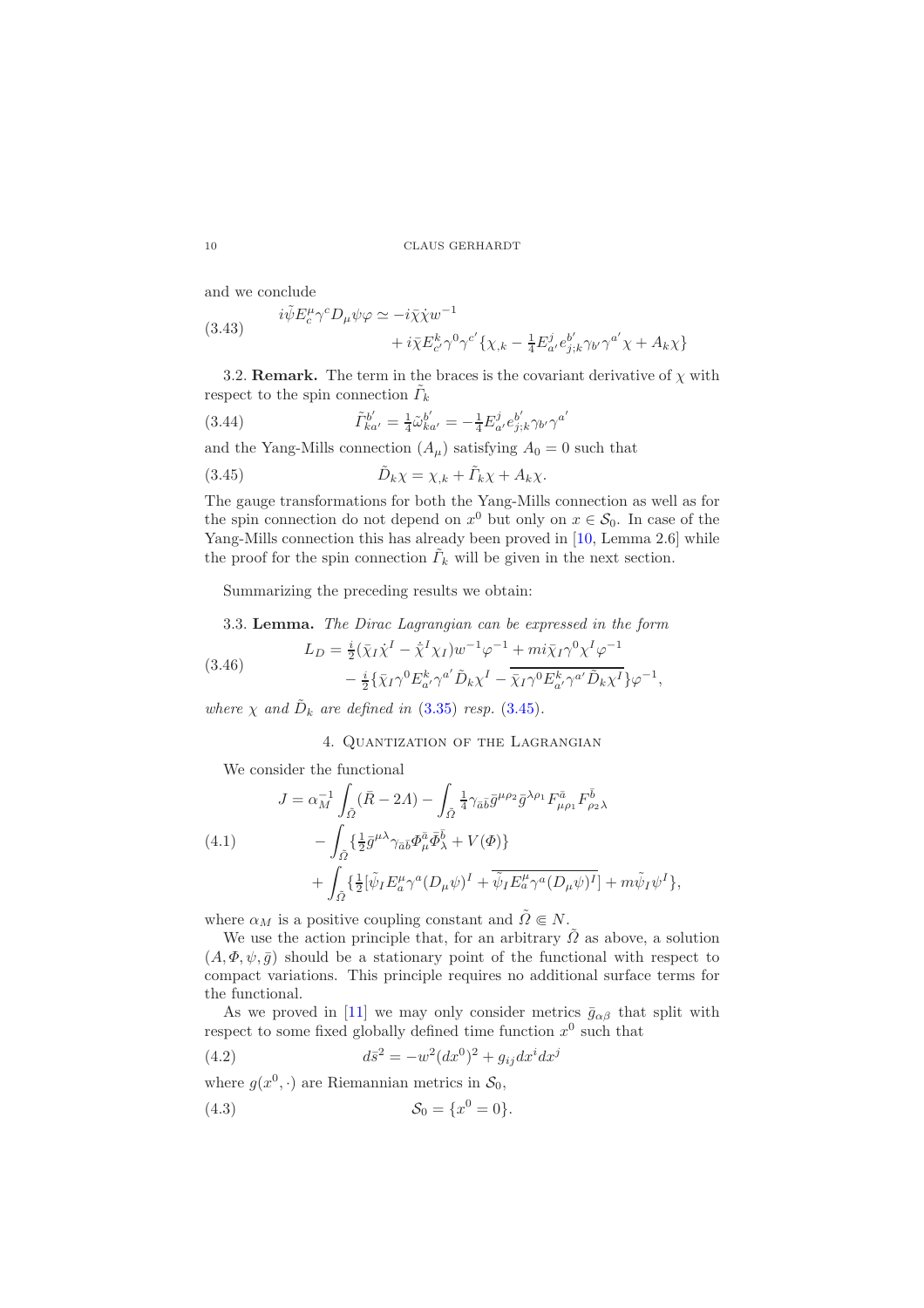and we conclude

(3.43) 
$$
i\tilde{\psi} E_c^{\mu} \gamma^c D_{\mu} \psi \varphi \simeq -i\bar{\chi} \dot{\chi} w^{-1} + i\bar{\chi} E_{c'}^{k} \gamma^0 \gamma^{c'} \{ \chi_{,k} - \frac{1}{4} E_{a'}^{j} e_{j;k}^{b'} \gamma_{b'} \gamma^{a'} \chi + A_k \chi \}
$$

3.2. **Remark.** The term in the braces is the covariant derivative of  $\chi$  with respect to the spin connection  $\tilde{\Gamma}_k$ 

(3.44) 
$$
\tilde{\Gamma}_{ka'}^{b'} = \frac{1}{4} \tilde{\omega}_{ka'}^{b'} = -\frac{1}{4} E_{a'}^j e_{j;k}^{b'} \gamma_{b'} \gamma^{a'}
$$

and the Yang-Mills connection  $(A_\mu)$  satisfying  $A_0 = 0$  such that

<span id="page-9-1"></span>(3.45) 
$$
\tilde{D}_k \chi = \chi_{,k} + \tilde{\Gamma}_k \chi + A_k \chi.
$$

The gauge transformations for both the Yang-Mills connection as well as for the spin connection do not depend on  $x^0$  but only on  $x \in \mathcal{S}_0$ . In case of the Yang-Mills connection this has already been proved in [\[10,](#page-29-7) Lemma 2.6] while the proof for the spin connection  $\tilde{\Gamma}_k$  will be given in the next section.

Summarizing the preceding results we obtain:

<span id="page-9-4"></span>3.3. Lemma. The Dirac Lagrangian can be expressed in the form

(3.46) 
$$
L_D = \frac{i}{2} (\bar{\chi}_I \dot{\chi}^I - \dot{\bar{\chi}}^I \chi_I) w^{-1} \varphi^{-1} + m i \bar{\chi}_I \gamma^0 \chi^I \varphi^{-1} - \frac{i}{2} {\bar{\chi}_I} \gamma^0 E^k_{a'} \gamma^{a'} \tilde{D}_k \chi^I - \overline{\bar{\chi}_I} \gamma^0 E^k_{a'} \gamma^{a'} \tilde{D}_k \chi^I \} \varphi^{-1},
$$

<span id="page-9-0"></span>where  $\chi$  and  $\tilde{D}_k$  are defined in [\(3.35\)](#page-8-1) resp. [\(3.45\)](#page-9-1).

<span id="page-9-3"></span>4. Quantization of the Lagrangian

We consider the functional

<span id="page-9-2"></span>(4.1)  
\n
$$
J = \alpha_M^{-1} \int_{\tilde{\Omega}} (\bar{R} - 2\Lambda) - \int_{\tilde{\Omega}} \frac{1}{4} \gamma_{\bar{a}\bar{b}} \bar{g}^{\mu \rho_2} \bar{g}^{\lambda \rho_1} F^{\bar{a}}_{\mu \rho_1} F^{\bar{b}}_{\rho_2 \lambda}
$$
\n
$$
- \int_{\tilde{\Omega}} \{ \frac{1}{2} \bar{g}^{\mu \lambda} \gamma_{\bar{a}\bar{b}} \Phi^{\bar{a}}_{\mu} \bar{\Phi}^{\bar{b}}_{\lambda} + V(\Phi) \} + \int_{\tilde{\Omega}} \{ \frac{1}{2} [\tilde{\psi}_I E^{\mu}_{\bar{a}} \gamma^a (D_{\mu} \psi)^I + \overline{\tilde{\psi}_I E^{\mu}_{\bar{a}} \gamma^a (D_{\mu} \psi)^I}] + m \tilde{\psi}_I \psi^I \},
$$

where  $\alpha_M$  is a positive coupling constant and  $\tilde{\Omega} \in N$ .

We use the action principle that, for an arbitrary  $\tilde{\Omega}$  as above, a solution  $(A, \Phi, \psi, \bar{g})$  should be a stationary point of the functional with respect to compact variations. This principle requires no additional surface terms for the functional.

As we proved in [\[11\]](#page-29-6) we may only consider metrics  $\bar{g}_{\alpha\beta}$  that split with respect to some fixed globally defined time function  $x^0$  such that

(4.2) 
$$
d\bar{s}^2 = -w^2 (dx^0)^2 + g_{ij} dx^i dx^j
$$

where  $g(x^0, \cdot)$  are Riemannian metrics in  $\mathcal{S}_0$ ,

(4.3) 
$$
S_0 = \{x^0 = 0\}.
$$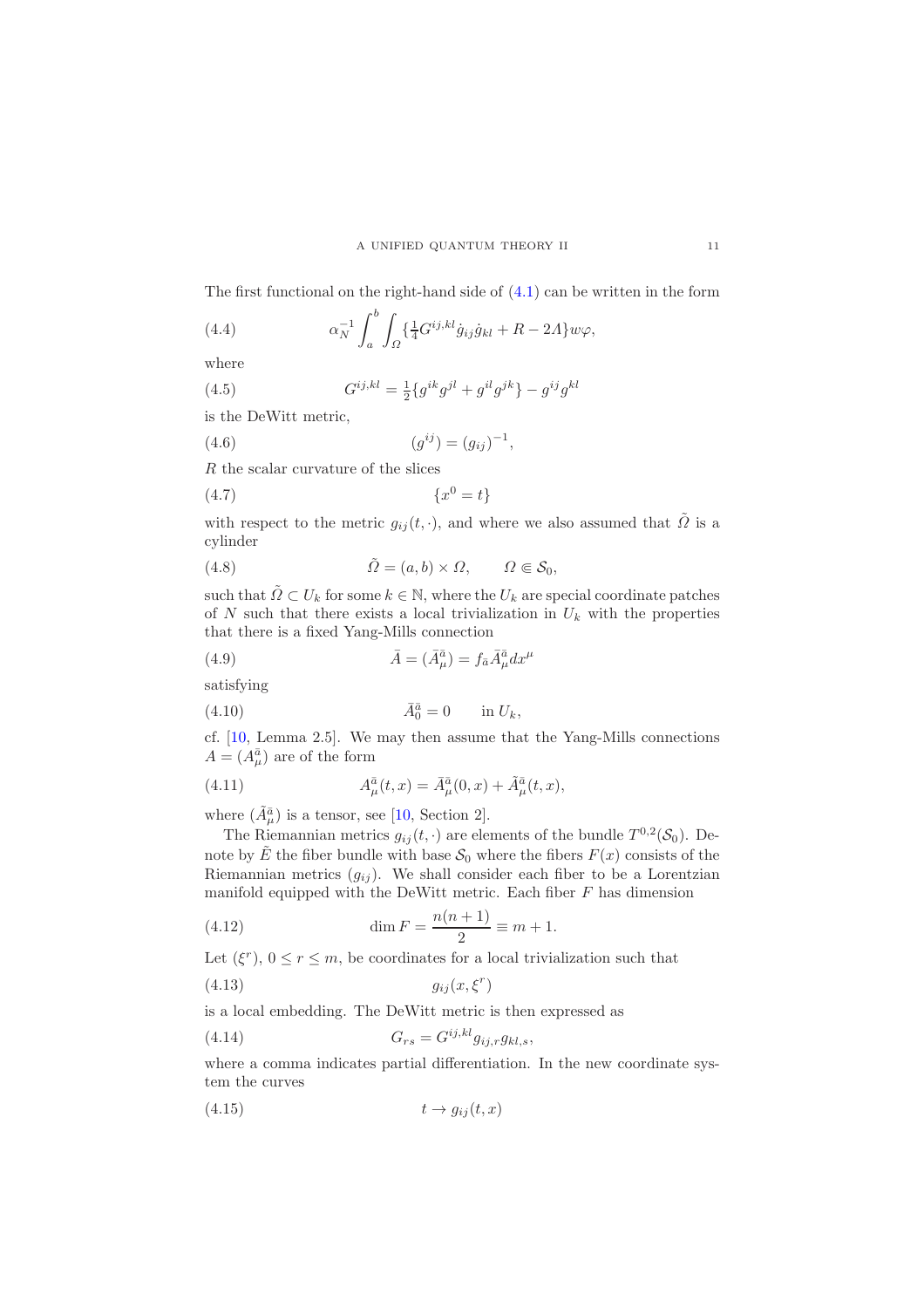The first functional on the right-hand side of  $(4.1)$  can be written in the form

<span id="page-10-0"></span>(4.4) 
$$
\alpha_N^{-1} \int_a^b \int_{\Omega} {\{\frac{1}{4} G^{ij,kl} \dot{g}_{ij} \dot{g}_{kl} + R - 2A\} w \varphi},
$$

where

(4.5) 
$$
G^{ij,kl} = \frac{1}{2} \{ g^{ik} g^{jl} + g^{il} g^{jk} \} - g^{ij} g^{kl}
$$

is the DeWitt metric,

(4.6) 
$$
(g^{ij}) = (g_{ij})^{-1},
$$

R the scalar curvature of the slices

$$
(4.7) \qquad \qquad \{x^0 = t\}
$$

with respect to the metric  $g_{ij}(t, \cdot)$ , and where we also assumed that  $\tilde{\Omega}$  is a cylinder

(4.8) 
$$
\tilde{\Omega} = (a, b) \times \Omega, \qquad \Omega \in \mathcal{S}_0,
$$

such that  $\tilde{\Omega} \subset U_k$  for some  $k \in \mathbb{N}$ , where the  $U_k$  are special coordinate patches of N such that there exists a local trivialization in  $U_k$  with the properties that there is a fixed Yang-Mills connection

(4.9) 
$$
\bar{A} = (\bar{A}^{\bar{a}}_{\mu}) = f_{\bar{a}} \bar{A}^{\bar{a}}_{\mu} dx^{\mu}
$$

satisfying

$$
(4.10) \t\t \bar{A}_0^{\bar{a}} = 0 \t\t \text{in } U_k,
$$

cf. [\[10,](#page-29-7) Lemma 2.5]. We may then assume that the Yang-Mills connections  $A = (A_{\mu}^{\bar{a}})$  are of the form

(4.11) 
$$
A^{\bar{a}}_{\mu}(t,x) = \bar{A}^{\bar{a}}_{\mu}(0,x) + \tilde{A}^{\bar{a}}_{\mu}(t,x),
$$

where  $(\tilde{A}_{\mu}^{\bar{a}})$  is a tensor, see [\[10,](#page-29-7) Section 2].

The Riemannian metrics  $g_{ij}(t, \cdot)$  are elements of the bundle  $T^{0,2}(\mathcal{S}_0)$ . Denote by  $\tilde{E}$  the fiber bundle with base  $\mathcal{S}_0$  where the fibers  $F(x)$  consists of the Riemannian metrics  $(g_{ij})$ . We shall consider each fiber to be a Lorentzian manifold equipped with the DeWitt metric. Each fiber  $F$  has dimension

(4.12) 
$$
\dim F = \frac{n(n+1)}{2} \equiv m+1.
$$

Let  $(\xi^r)$ ,  $0 \le r \le m$ , be coordinates for a local trivialization such that

$$
(4.13)\t\t\t g_{ij}(x,\xi^r)
$$

is a local embedding. The DeWitt metric is then expressed as

$$
(4.14) \tGrs = Gij,kl gij,r gkl,s,
$$

where a comma indicates partial differentiation. In the new coordinate system the curves

$$
(4.15) \t t \rightarrow g_{ij}(t, x)
$$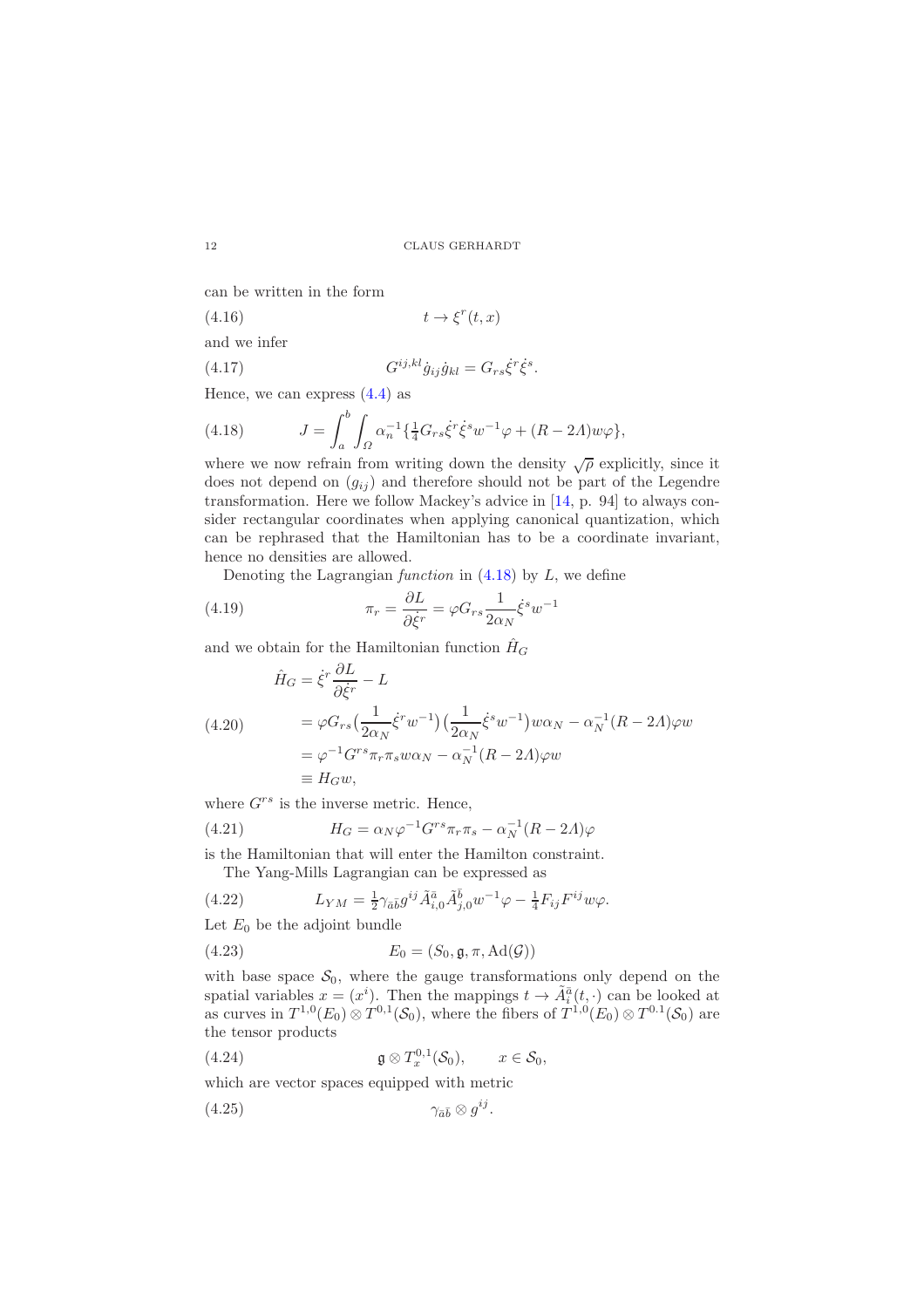can be written in the form

$$
(4.16) \t t \to \xi^r(t, x)
$$

and we infer

$$
(4.17) \tG^{ij,kl}\dot{g}_{ij}\dot{g}_{kl} = G_{rs}\dot{\xi}^r\dot{\xi}^s.
$$

Hence, we can express  $(4.4)$  as

<span id="page-11-0"></span>(4.18) 
$$
J = \int_{a}^{b} \int_{\Omega} \alpha_n^{-1} \{ \frac{1}{4} G_{rs} \dot{\xi}^r \dot{\xi}^s w^{-1} \varphi + (R - 2\Lambda) w \varphi \},
$$

where we now refrain from writing down the density  $\sqrt{\rho}$  explicitly, since it does not depend on  $(g_{ij})$  and therefore should not be part of the Legendre transformation. Here we follow Mackey's advice in [\[14,](#page-29-11) p. 94] to always consider rectangular coordinates when applying canonical quantization, which can be rephrased that the Hamiltonian has to be a coordinate invariant, hence no densities are allowed.

Denoting the Lagrangian function in  $(4.18)$  by L, we define

(4.19) 
$$
\pi_r = \frac{\partial L}{\partial \dot{\xi}^r} = \varphi G_{rs} \frac{1}{2\alpha_N} \dot{\xi}^s w^{-1}
$$

and we obtain for the Hamiltonian function  $\hat{H}_G$ 

<span id="page-11-2"></span>
$$
\hat{H}_G = \dot{\xi}^r \frac{\partial L}{\partial \dot{\xi}^r} - L
$$
\n
$$
(4.20) \qquad = \varphi G_{rs} \left( \frac{1}{2\alpha_N} \dot{\xi}^r w^{-1} \right) \left( \frac{1}{2\alpha_N} \dot{\xi}^s w^{-1} \right) w \alpha_N - \alpha_N^{-1} (R - 2\Lambda) \varphi w
$$
\n
$$
= \varphi^{-1} G^{rs} \pi_r \pi_s w \alpha_N - \alpha_N^{-1} (R - 2\Lambda) \varphi w
$$
\n
$$
\equiv H_G w,
$$

where  $G^{rs}$  is the inverse metric. Hence,

(4.21) 
$$
H_G = \alpha_N \varphi^{-1} G^{rs} \pi_r \pi_s - \alpha_N^{-1} (R - 2\Lambda) \varphi
$$

is the Hamiltonian that will enter the Hamilton constraint.

<span id="page-11-1"></span>The Yang-Mills Lagrangian can be expressed as

(4.22) 
$$
L_{YM} = \frac{1}{2} \gamma_{\bar{a}\bar{b}} g^{ij} \tilde{A}_{i,0}^{\bar{a}} \tilde{A}_{j,0}^{\bar{b}} w^{-1} \varphi - \frac{1}{4} F_{ij} F^{ij} w \varphi.
$$

Let  $E_0$  be the adjoint bundle

$$
(4.23) \t E_0 = (S_0, \mathfrak{g}, \pi, \mathrm{Ad}(\mathcal{G}))
$$

with base space  $S_0$ , where the gauge transformations only depend on the spatial variables  $x = (x^i)$ . Then the mappings  $t \to \tilde{A}_i^{\bar{a}}(t, \cdot)$  can be looked at as curves in  $T^{1,0}(E_0) \otimes T^{0,1}(\mathcal{S}_0)$ , where the fibers of  $T^{1,0}(E_0) \otimes T^{0,1}(\mathcal{S}_0)$  are the tensor products

(4.24) 
$$
\mathfrak{g} \otimes T_x^{0,1}(\mathcal{S}_0), \qquad x \in \mathcal{S}_0,
$$

which are vector spaces equipped with metric

(4.25) γa¯¯<sup>b</sup> ⊗ g ij .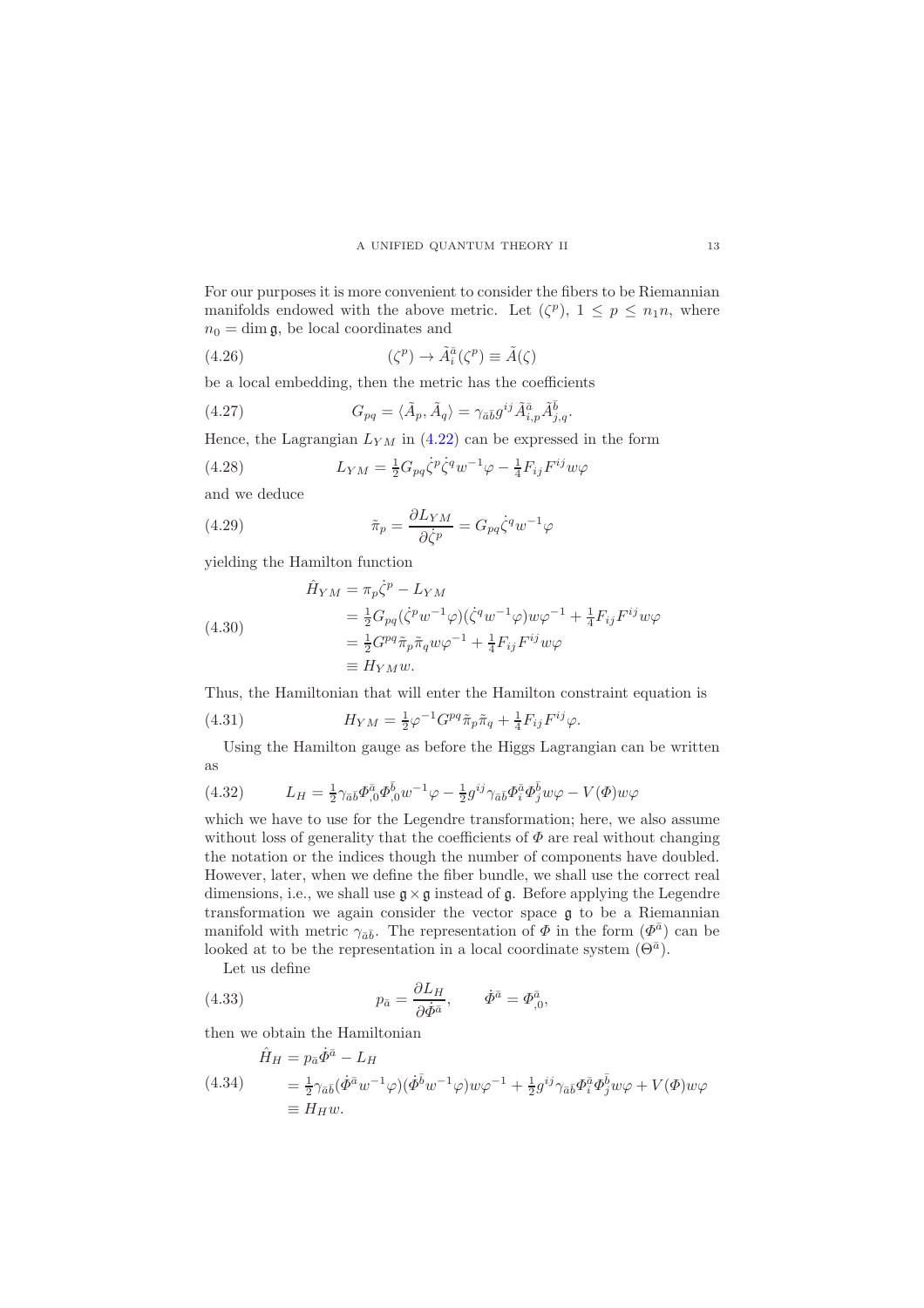For our purposes it is more convenient to consider the fibers to be Riemannian manifolds endowed with the above metric. Let  $(\zeta^p)$ ,  $1 \leq p \leq n_1 n$ , where  $n_0 = \dim \mathfrak{g}$ , be local coordinates and

(4.26) 
$$
(\zeta^p) \to \tilde{A}_i^{\bar{a}}(\zeta^p) \equiv \tilde{A}(\zeta)
$$

be a local embedding, then the metric has the coefficients

(4.27) 
$$
G_{pq} = \langle \tilde{A}_p, \tilde{A}_q \rangle = \gamma_{\bar{a}\bar{b}} g^{ij} \tilde{A}^{\bar{a}}_{i,p} \tilde{A}^{\bar{b}}_{j,q}.
$$

Hence, the Lagrangian  $L_{YM}$  in [\(4.22\)](#page-11-1) can be expressed in the form

(4.28) 
$$
L_{YM} = \frac{1}{2} G_{pq} \dot{\zeta}^p \dot{\zeta}^q w^{-1} \varphi - \frac{1}{4} F_{ij} F^{ij} w \varphi
$$

and we deduce

(4.29) 
$$
\tilde{\pi}_p = \frac{\partial L_{YM}}{\partial \dot{\zeta}^p} = G_{pq} \dot{\zeta}^q w^{-1} \varphi
$$

yielding the Hamilton function

(4.30)  
\n
$$
\hat{H}_{YM} = \pi_p \dot{\zeta}^p - L_{YM}
$$
\n
$$
= \frac{1}{2} G_{pq} (\dot{\zeta}^p w^{-1} \varphi) (\dot{\zeta}^q w^{-1} \varphi) w \varphi^{-1} + \frac{1}{4} F_{ij} F^{ij} w \varphi
$$
\n
$$
= \frac{1}{2} G^{pq} \tilde{\pi}_p \tilde{\pi}_q w \varphi^{-1} + \frac{1}{4} F_{ij} F^{ij} w \varphi
$$
\n
$$
\equiv H_{YM} w.
$$

Thus, the Hamiltonian that will enter the Hamilton constraint equation is

<span id="page-12-0"></span>(4.31) 
$$
H_{YM} = \frac{1}{2} \varphi^{-1} G^{pq} \tilde{\pi}_p \tilde{\pi}_q + \frac{1}{4} F_{ij} F^{ij} \varphi.
$$

Using the Hamilton gauge as before the Higgs Lagrangian can be written as

(4.32) 
$$
L_H = \frac{1}{2} \gamma_{\bar{a}\bar{b}} \Phi_{,0}^{\bar{a}} \Phi_{,0}^{\bar{b}} w^{-1} \varphi - \frac{1}{2} g^{ij} \gamma_{\bar{a}\bar{b}} \Phi_i^{\bar{a}} \Phi_j^{\bar{b}} w \varphi - V(\Phi) w \varphi
$$

which we have to use for the Legendre transformation; here, we also assume without loss of generality that the coefficients of  $\Phi$  are real without changing the notation or the indices though the number of components have doubled. However, later, when we define the fiber bundle, we shall use the correct real dimensions, i.e., we shall use  $\mathfrak{g} \times \mathfrak{g}$  instead of  $\mathfrak{g}$ . Before applying the Legendre transformation we again consider the vector space g to be a Riemannian manifold with metric  $\gamma_{\bar{a}\bar{b}}$ . The representation of  $\Phi$  in the form  $(\Phi^{\bar{a}})$  can be looked at to be the representation in a local coordinate system  $(\Theta^{\bar{a}})$ .

Let us define

(4.33) 
$$
p_{\bar{a}} = \frac{\partial L_H}{\partial \dot{\Phi}^{\bar{a}}}, \qquad \dot{\Phi}^{\bar{a}} = \Phi^{\bar{a}}_{,0},
$$

then we obtain the Hamiltonian

$$
\hat{H}_H = p_{\bar{a}} \dot{\Phi}^{\bar{a}} - L_H
$$
\n
$$
(4.34) \qquad \begin{aligned}\n&= \frac{1}{2} \gamma_{\bar{a}\bar{b}} (\dot{\Phi}^{\bar{a}} w^{-1} \varphi) (\dot{\Phi}^{\bar{b}} w^{-1} \varphi) w \varphi^{-1} + \frac{1}{2} g^{ij} \gamma_{\bar{a}\bar{b}} \Phi_i^{\bar{a}} \Phi_j^{\bar{b}} w \varphi + V(\Phi) w \varphi \\
&= H_H w.\n\end{aligned}
$$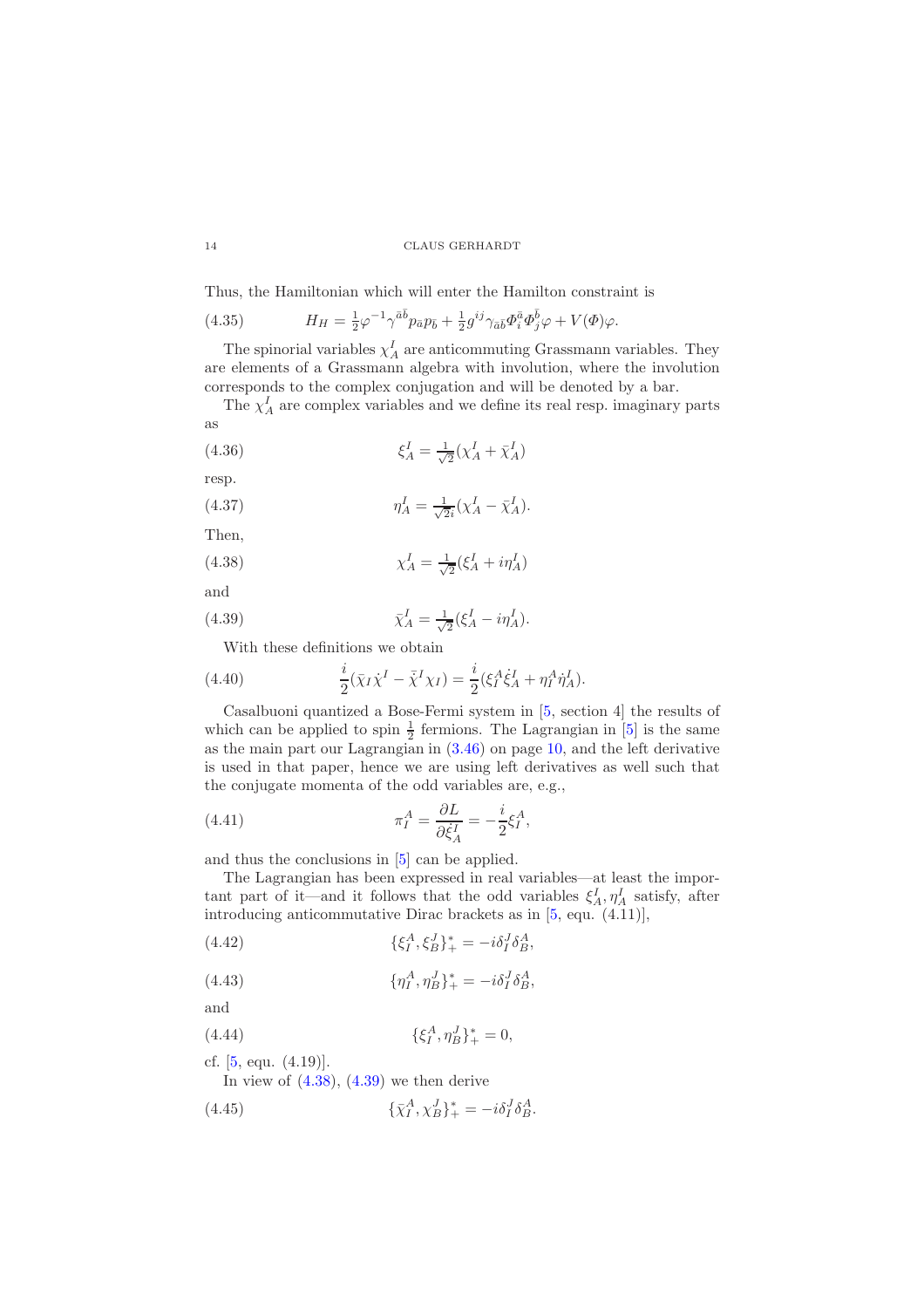Thus, the Hamiltonian which will enter the Hamilton constraint is

<span id="page-13-2"></span>(4.35) 
$$
H_H = \frac{1}{2}\varphi^{-1}\gamma^{\bar{a}\bar{b}}p_{\bar{a}}p_{\bar{b}} + \frac{1}{2}g^{ij}\gamma_{\bar{a}\bar{b}}\Phi_i^{\bar{a}}\Phi_j^{\bar{b}}\varphi + V(\Phi)\varphi.
$$

The spinorial variables  $\chi_A^I$  are anticommuting Grassmann variables. They are elements of a Grassmann algebra with involution, where the involution corresponds to the complex conjugation and will be denoted by a bar.

The  $\chi_A^I$  are complex variables and we define its real resp. imaginary parts as

(4.36) 
$$
\xi_A^I = \frac{1}{\sqrt{2}} (\chi_A^I + \bar{\chi}_A^I)
$$

resp.

(4.37) 
$$
\eta_A^I = \frac{1}{\sqrt{2}i} (\chi_A^I - \bar{\chi}_A^I).
$$

Then,

<span id="page-13-0"></span>(4.38) 
$$
\chi_A^I = \frac{1}{\sqrt{2}} (\xi_A^I + i\eta_A^I)
$$

and

(4.39) 
$$
\bar{\chi}_A^I = \frac{1}{\sqrt{2}} (\xi_A^I - i\eta_A^I).
$$

<span id="page-13-1"></span>With these definitions we obtain

(4.40) 
$$
\frac{i}{2}(\bar{\chi}_I\dot{\chi}^I - \bar{\chi}^I\chi_I) = \frac{i}{2}(\xi_I^A\dot{\xi}_A^I + \eta_I^A\dot{\eta}_A^I).
$$

Casalbuoni quantized a Bose-Fermi system in [\[5,](#page-29-9) section 4] the results of which can be applied to spin  $\frac{1}{2}$  fermions. The Lagrangian in [\[5\]](#page-29-9) is the same as the main part our Lagrangian in [\(3.46\)](#page-9-3) on page [10,](#page-9-3) and the left derivative is used in that paper, hence we are using left derivatives as well such that the conjugate momenta of the odd variables are, e.g.,

(4.41) 
$$
\pi_I^A = \frac{\partial L}{\partial \dot{\xi}_A^I} = -\frac{i}{2} \xi_I^A,
$$

and thus the conclusions in [\[5\]](#page-29-9) can be applied.

The Lagrangian has been expressed in real variables—at least the important part of it—and it follows that the odd variables  $\xi_A^I, \eta_A^I$  satisfy, after introducing anticommutative Dirac brackets as in [\[5,](#page-29-9) equ. (4.11)],

(4.42) 
$$
\{\xi_I^A, \xi_B^J\}_+^* = -i\delta_I^J \delta_B^A,
$$

(4.43) 
$$
\{\eta^A_I, \eta^J_B\}^*_+ = -i\delta^J_I \delta^A_B,
$$

and

(4.44) 
$$
\{\xi_I^A, \eta_B^J\}_+^* = 0,
$$

cf. [\[5,](#page-29-9) equ. (4.19)].

In view of  $(4.38)$ ,  $(4.39)$  we then derive

(4.45) 
$$
\{\bar{\chi}_I^A, \chi_B^J\}_+^* = -i\delta_I^J \delta_B^A.
$$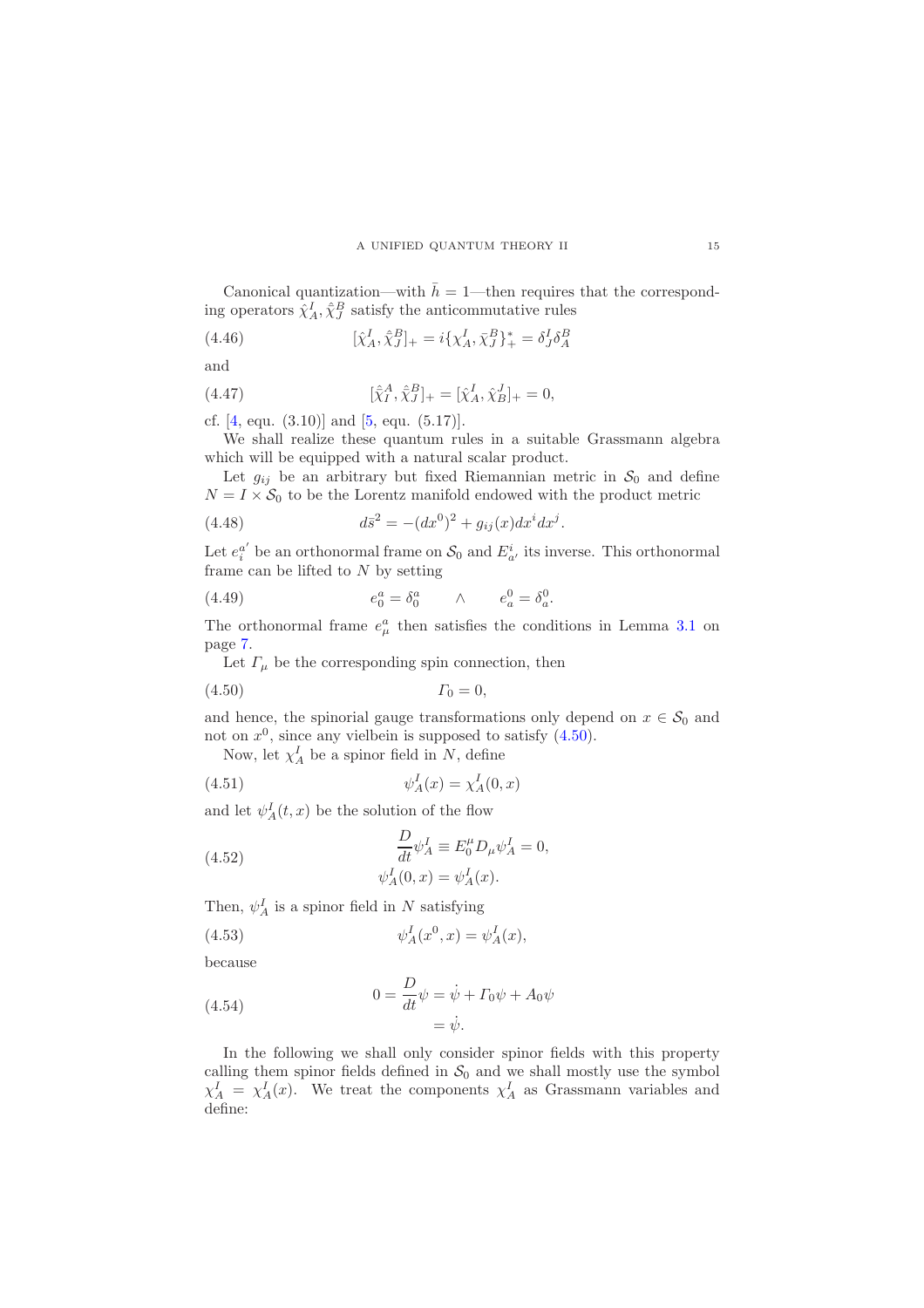Canonical quantization—with  $\bar{h} = 1$ —then requires that the corresponding operators  $\hat{\chi}^I_A$ ,  $\hat{\bar{\chi}}^B_J$  satisfy the anticommutative rules

<span id="page-14-1"></span>(4.46) 
$$
[\hat{\chi}_A^I, \hat{\bar{\chi}}_J^B]_+ = i\{\chi_A^I, \bar{\chi}_J^B\}_+^* = \delta_J^I \delta_A^B
$$

and

(4.47) 
$$
[\hat{\chi}_I^A, \hat{\chi}_J^B]_+ = [\hat{\chi}_A^I, \hat{\chi}_B^J]_+ = 0,
$$

cf.  $[4, \text{ equ. } (3.10)]$  and  $[5, \text{ equ. } (5.17)]$ .

We shall realize these quantum rules in a suitable Grassmann algebra which will be equipped with a natural scalar product.

Let  $g_{ij}$  be an arbitrary but fixed Riemannian metric in  $S_0$  and define  $N = I \times S_0$  to be the Lorentz manifold endowed with the product metric

(4.48) 
$$
d\bar{s}^2 = -(dx^0)^2 + g_{ij}(x)dx^i dx^j.
$$

Let  $e_i^{a'}$  be an orthonormal frame on  $S_0$  and  $E_{a'}^i$  its inverse. This orthonormal frame can be lifted to  $N$  by setting

(4.49) 
$$
e_0^a = \delta_0^a \qquad \wedge \qquad e_a^0 = \delta_a^0.
$$

The orthonormal frame  $e^a_\mu$  then satisfies the conditions in Lemma [3.1](#page-6-2) on page [7.](#page-6-2)

<span id="page-14-0"></span>Let  $\Gamma_{\mu}$  be the corresponding spin connection, then

(4.50) Γ<sup>0</sup> = 0,

and hence, the spinorial gauge transformations only depend on  $x \in \mathcal{S}_0$  and not on  $x^0$ , since any vielbein is supposed to satisfy  $(4.50)$ .

Now, let  $\chi_A^I$  be a spinor field in N, define

$$
\psi_A^I(x) = \chi_A^I(0, x)
$$

and let  $\psi_A^I(t,x)$  be the solution of the flow

(4.52) 
$$
\frac{D}{dt}\psi_A^I \equiv E_0^\mu D_\mu \psi_A^I = 0,
$$

$$
\psi_A^I(0, x) = \psi_A^I(x).
$$

Then,  $\psi_A^I$  is a spinor field in N satisfying

(4.53) 
$$
\psi_A^I(x^0, x) = \psi_A^I(x),
$$

because

(4.54) 
$$
0 = \frac{D}{dt}\psi = \dot{\psi} + \Gamma_0\psi + A_0\psi
$$

$$
= \dot{\psi}.
$$

In the following we shall only consider spinor fields with this property calling them spinor fields defined in  $S_0$  and we shall mostly use the symbol  $\chi_A^I = \chi_A^I(x)$ . We treat the components  $\chi_A^I$  as Grassmann variables and define: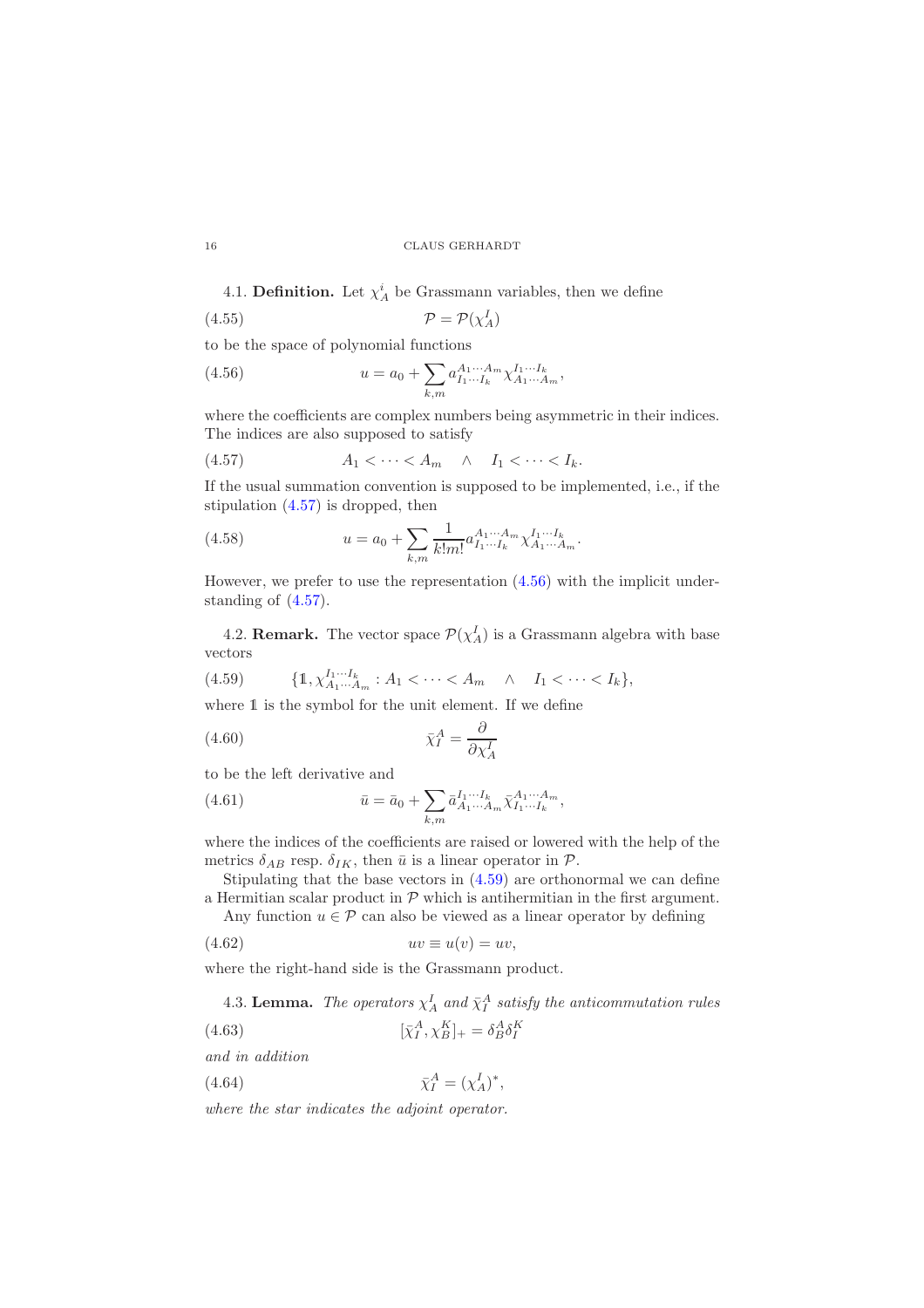4.1. **Definition.** Let  $\chi^i_A$  be Grassmann variables, then we define

$$
(4.55)\t\t\t\t\mathcal{P} = \mathcal{P}(\chi_A^I)
$$

to be the space of polynomial functions

<span id="page-15-1"></span>(4.56) 
$$
u = a_0 + \sum_{k,m} a_{I_1 \cdots I_k}^{A_1 \cdots A_m} \chi_{A_1 \cdots A_m}^{I_1 \cdots I_k},
$$

where the coefficients are complex numbers being asymmetric in their indices. The indices are also supposed to satisfy

<span id="page-15-0"></span>
$$
(4.57) \t\t A1 < \cdots < Am \t \wedge \t I1 < \cdots < Ik.
$$

If the usual summation convention is supposed to be implemented, i.e., if the stipulation [\(4.57\)](#page-15-0) is dropped, then

(4.58) 
$$
u = a_0 + \sum_{k,m} \frac{1}{k!m!} a_{I_1 \cdots I_k}^{A_1 \cdots A_m} \chi_{A_1 \cdots A_m}^{I_1 \cdots I_k}.
$$

However, we prefer to use the representation [\(4.56\)](#page-15-1) with the implicit understanding of [\(4.57\)](#page-15-0).

4.2. **Remark.** The vector space  $\mathcal{P}(\chi_A^I)$  is a Grassmann algebra with base vectors

<span id="page-15-2"></span>
$$
(4.59) \qquad \{1, \chi_{A_1 \cdots A_m}^{I_1 \cdots I_k} : A_1 < \cdots < A_m \quad \wedge \quad I_1 < \cdots < I_k\},
$$

where  $1$  is the symbol for the unit element. If we define

<span id="page-15-4"></span>
$$
\bar{\chi}_I^A = \frac{\partial}{\partial \chi_A^I}
$$

to be the left derivative and

(4.61) 
$$
\bar{u} = \bar{a}_0 + \sum_{k,m} \bar{a}_{A_1 \cdots A_m}^{I_1 \cdots I_k} \bar{\chi}_{I_1 \cdots I_k}^{A_1 \cdots A_m},
$$

where the indices of the coefficients are raised or lowered with the help of the metrics  $\delta_{AB}$  resp.  $\delta_{IK}$ , then  $\bar{u}$  is a linear operator in  $\mathcal{P}$ .

Stipulating that the base vectors in [\(4.59\)](#page-15-2) are orthonormal we can define a Hermitian scalar product in  $P$  which is antihermitian in the first argument.

Any function  $u \in \mathcal{P}$  can also be viewed as a linear operator by defining

$$
(4.62) \t uv \equiv u(v) = uv,
$$

where the right-hand side is the Grassmann product.

<span id="page-15-6"></span><span id="page-15-5"></span><span id="page-15-3"></span>4.3. Lemma. The operators  $\chi_A^I$  and  $\bar{\chi}_I^A$  satisfy the anticommutation rules

$$
\left[ \bar{\chi}_I^A, \chi_B^K \right]_+ = \delta^A_B \delta^K_I
$$

and in addition

 $(4.64)$  $_{I}^{A}=(\chi_{A}^{I})^{*},$ 

where the star indicates the adjoint operator.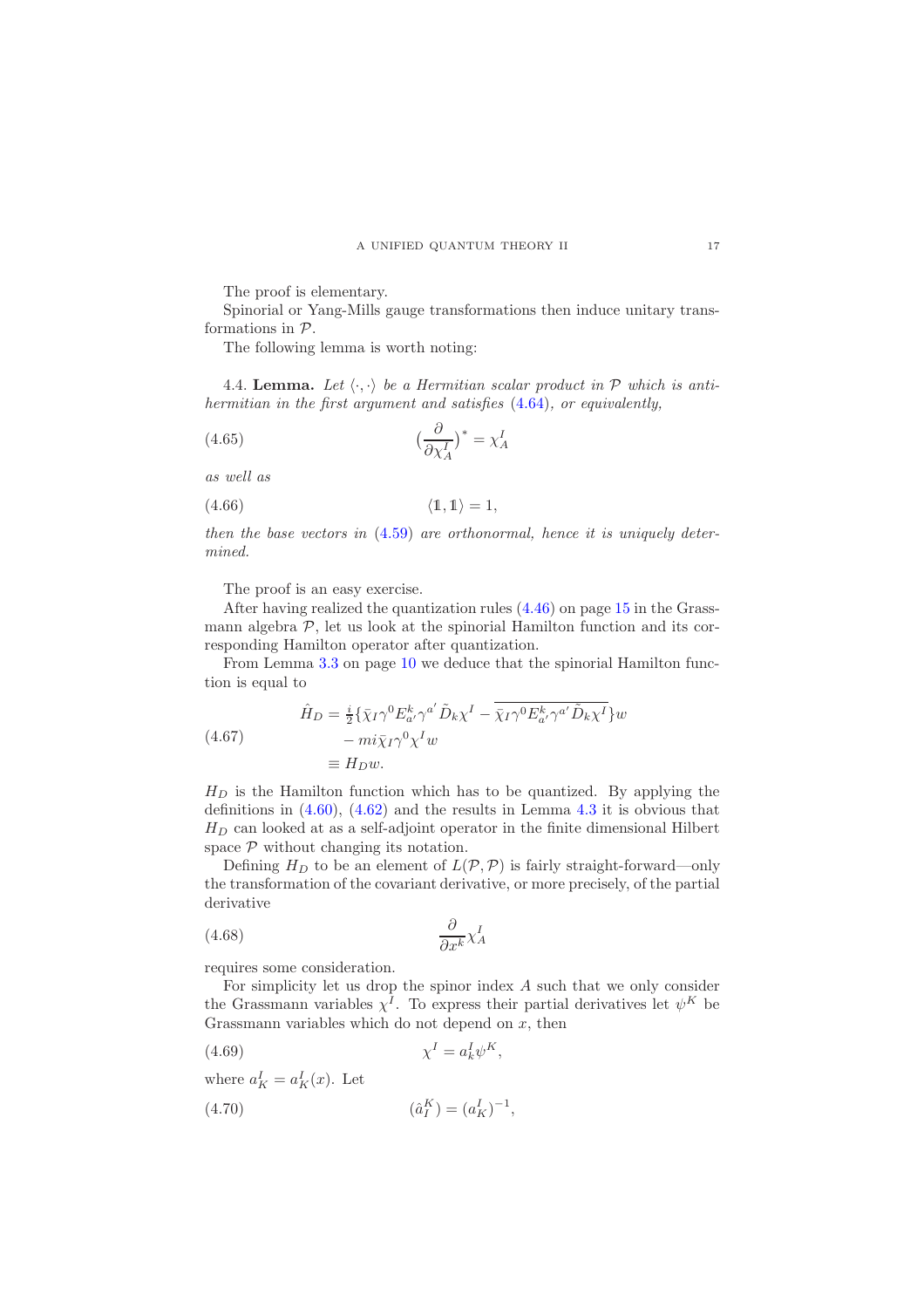The proof is elementary.

Spinorial or Yang-Mills gauge transformations then induce unitary transformations in P.

The following lemma is worth noting:

4.4. Lemma. Let  $\langle \cdot, \cdot \rangle$  be a Hermitian scalar product in  $P$  which is antihermitian in the first argument and satisfies [\(4.64\)](#page-15-3), or equivalently,

$$
(4.65)\qquad \qquad (\frac{\partial}{\partial \chi_A^I})^* = \chi_A^I
$$

as well as

$$
(4.66) \t\t \langle 1, 1 \rangle = 1,
$$

then the base vectors in  $(4.59)$  are orthonormal, hence it is uniquely determined.

The proof is an easy exercise.

After having realized the quantization rules [\(4.46\)](#page-14-1) on page [15](#page-14-1) in the Grassmann algebra  $P$ , let us look at the spinorial Hamilton function and its corresponding Hamilton operator after quantization.

From Lemma [3.3](#page-9-4) on page [10](#page-9-4) we deduce that the spinorial Hamilton function is equal to

<span id="page-16-0"></span>(4.67) 
$$
\hat{H}_D = \frac{i}{2} \{ \bar{\chi}_I \gamma^0 E_{a'}^k \gamma^{a'} \tilde{D}_k \chi^I - \overline{\bar{\chi}_I \gamma^0 E_{a'}^k \gamma^{a'} \tilde{D}_k \chi^I} \} w \n= m i \bar{\chi}_I \gamma^0 \chi^I w \n\equiv H_D w.
$$

 $H_D$  is the Hamilton function which has to be quantized. By applying the definitions in  $(4.60)$ ,  $(4.62)$  and the results in Lemma [4.3](#page-15-6) it is obvious that  $H_D$  can looked at as a self-adjoint operator in the finite dimensional Hilbert space  $P$  without changing its notation.

Defining  $H_D$  to be an element of  $L(\mathcal{P}, \mathcal{P})$  is fairly straight-forward—only the transformation of the covariant derivative, or more precisely, of the partial derivative

$$
(4.68)\qquad \qquad \frac{\partial}{\partial x^k} \chi_A^I
$$

requires some consideration.

For simplicity let us drop the spinor index A such that we only consider the Grassmann variables  $\chi^I$ . To express their partial derivatives let  $\psi^K$  be Grassmann variables which do not depend on  $x$ , then

,

$$
\chi^I = a_k^I \psi^K,
$$

where  $a_K^I = a_K^I(x)$ . Let

(4.70) 
$$
(\hat{a}_I^K) = (a_K^I)^{-1}
$$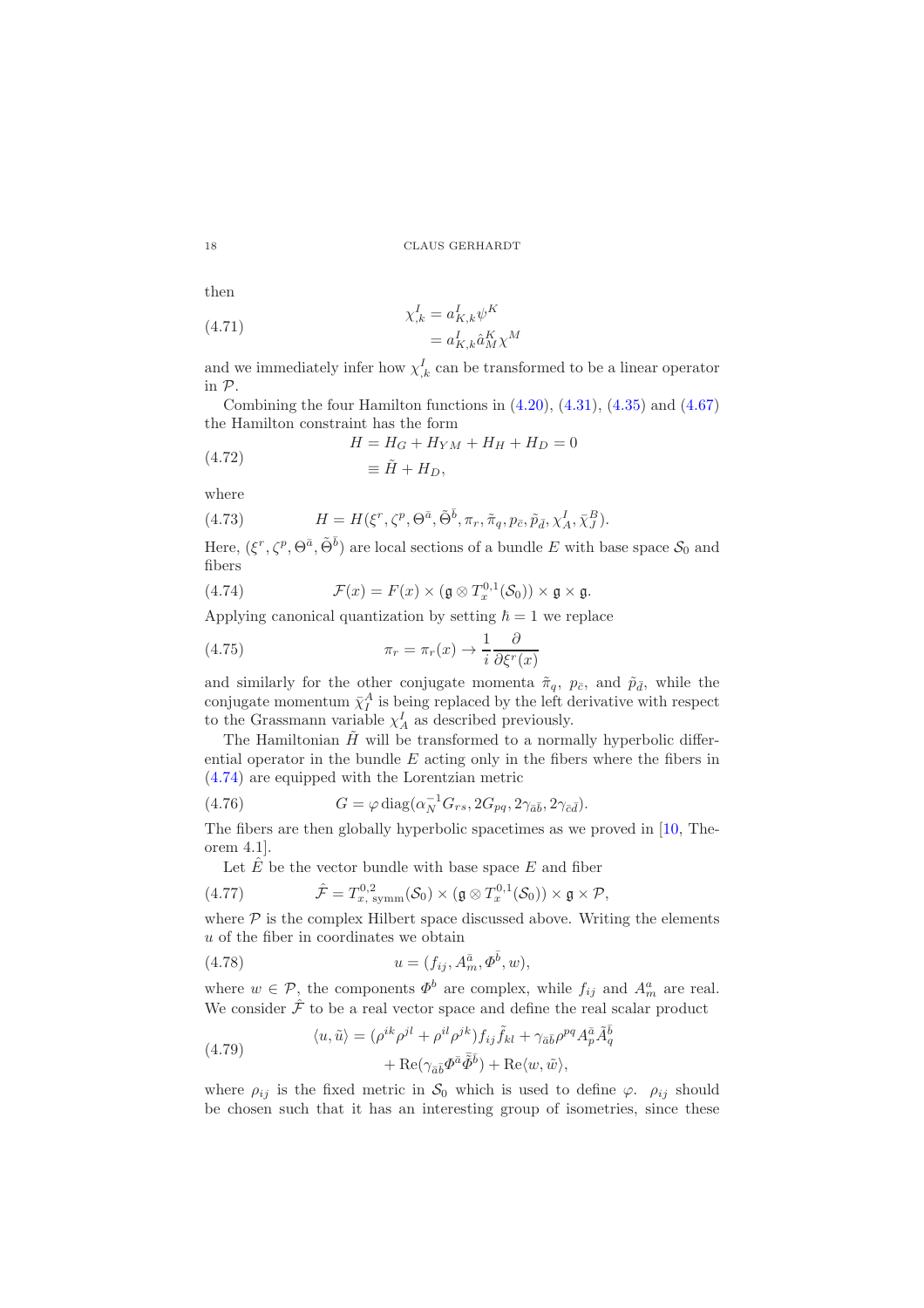then

(4.71) 
$$
\chi_{,k}^{I} = a_{K,k}^{I} \psi^{K}
$$

$$
= a_{K,k}^{I} \hat{a}_{M}^{K} \chi^{M}
$$

and we immediately infer how  $\chi^I_{,k}$  can be transformed to be a linear operator in P.

Combining the four Hamilton functions in  $(4.20)$ ,  $(4.31)$ ,  $(4.35)$  and  $(4.67)$ the Hamilton constraint has the form

(4.72) 
$$
H = H_G + H_{YM} + H_H + H_D = 0
$$

$$
\equiv \tilde{H} + H_D,
$$

where

(4.73) 
$$
H = H(\xi^r, \zeta^p, \Theta^{\bar{a}}, \tilde{\Theta}^{\bar{b}}, \pi_r, \tilde{\pi}_q, p_{\bar{c}}, \tilde{p}_{\bar{d}}, \chi^I_A, \bar{\chi}^B_J).
$$

Here,  $(\xi^r, \zeta^p, \Theta^{\bar{a}}, \tilde{\Theta}^{\bar{b}})$  are local sections of a bundle E with base space  $\mathcal{S}_0$  and fibers

<span id="page-17-0"></span>(4.74) 
$$
\mathcal{F}(x) = F(x) \times (\mathfrak{g} \otimes T_x^{0,1}(\mathcal{S}_0)) \times \mathfrak{g} \times \mathfrak{g}.
$$

Applying canonical quantization by setting  $\hbar = 1$  we replace

(4.75) 
$$
\pi_r = \pi_r(x) \to \frac{1}{i} \frac{\partial}{\partial \xi^r(x)}
$$

and similarly for the other conjugate momenta  $\tilde{\pi}_q$ ,  $p_{\bar{c}}$ , and  $\tilde{p}_{\bar{d}}$ , while the conjugate momentum  $\bar{\chi}_I^A$  is being replaced by the left derivative with respect to the Grassmann variable  $\chi_A^I$  as described previously.

The Hamiltonian  $\tilde{H}$  will be transformed to a normally hyperbolic differential operator in the bundle  $E$  acting only in the fibers where the fibers in [\(4.74\)](#page-17-0) are equipped with the Lorentzian metric

(4.76) 
$$
G = \varphi \operatorname{diag}(\alpha_N^{-1} G_{rs}, 2G_{pq}, 2\gamma_{\bar{a}\bar{b}}, 2\gamma_{\bar{c}\bar{d}}).
$$

The fibers are then globally hyperbolic spacetimes as we proved in [\[10,](#page-29-7) Theorem 4.1].

<span id="page-17-1"></span>Let  $\overline{E}$  be the vector bundle with base space  $E$  and fiber

(4.77) 
$$
\hat{\mathcal{F}} = T_{x, \text{ symm}}^{0,2}(\mathcal{S}_0) \times (\mathfrak{g} \otimes T_x^{0,1}(\mathcal{S}_0)) \times \mathfrak{g} \times \mathcal{P},
$$

where  $P$  is the complex Hilbert space discussed above. Writing the elements u of the fiber in coordinates we obtain

(4.78) 
$$
u = (f_{ij}, A_m^{\bar{a}}, \Phi^{\bar{b}}, w),
$$

where  $w \in \mathcal{P}$ , the components  $\Phi^b$  are complex, while  $f_{ij}$  and  $A_m^a$  are real. We consider  $\hat{\mathcal{F}}$  to be a real vector space and define the real scalar product

q

<span id="page-17-2"></span>(4.79) 
$$
\langle u, \tilde{u} \rangle = (\rho^{ik} \rho^{jl} + \rho^{il} \rho^{jk}) f_{ij} \tilde{f}_{kl} + \gamma_{\bar{a}\bar{b}} \rho^{pq} A_p^{\bar{a}} \tilde{A}_q^{\bar{b}} + \text{Re}(\gamma_{\bar{a}\bar{b}} \Phi^{\bar{a}} \tilde{\Phi}^{\bar{b}}) + \text{Re}\langle w, \tilde{w} \rangle,
$$

where  $\rho_{ij}$  is the fixed metric in  $S_0$  which is used to define  $\varphi$ .  $\rho_{ij}$  should be chosen such that it has an interesting group of isometries, since these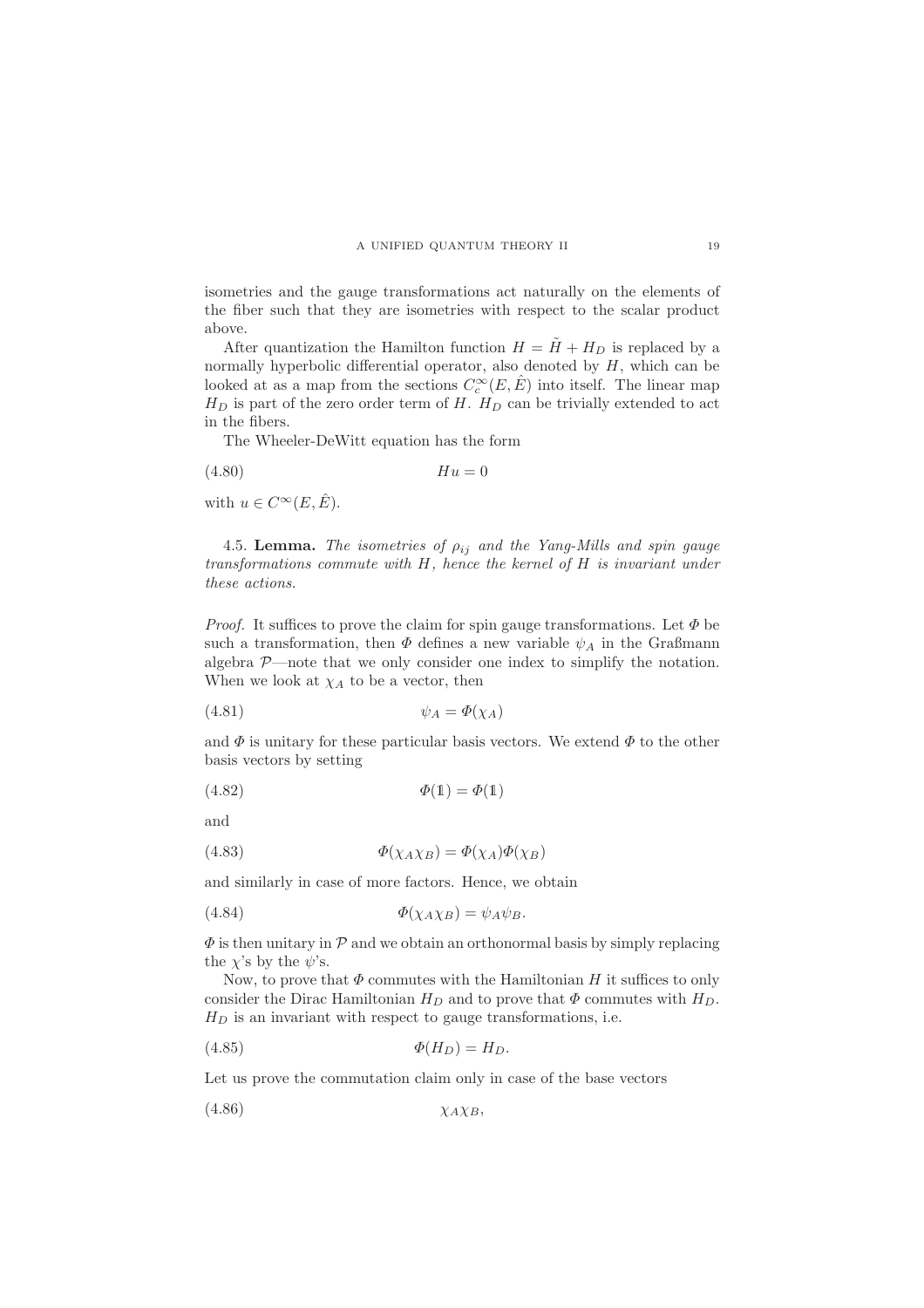isometries and the gauge transformations act naturally on the elements of the fiber such that they are isometries with respect to the scalar product above.

After quantization the Hamilton function  $H = \tilde{H} + H_D$  is replaced by a normally hyperbolic differential operator, also denoted by  $H$ , which can be looked at as a map from the sections  $C_c^{\infty}(E, \hat{E})$  into itself. The linear map  $H_D$  is part of the zero order term of H.  $H_D$  can be trivially extended to act in the fibers.

The Wheeler-DeWitt equation has the form

(4.80) Hu = 0

with  $u \in C^{\infty}(E, \hat{E}).$ 

<span id="page-18-0"></span>4.5. Lemma. The isometries of  $\rho_{ij}$  and the Yang-Mills and spin gauge transformations commute with H, hence the kernel of H is invariant under these actions.

*Proof.* It suffices to prove the claim for spin gauge transformations. Let  $\Phi$  be such a transformation, then  $\Phi$  defines a new variable  $\psi_A$  in the Graßmann algebra  $P$ —note that we only consider one index to simplify the notation. When we look at  $\chi_A$  to be a vector, then

$$
\psi_A = \Phi(\chi_A)
$$

and  $\Phi$  is unitary for these particular basis vectors. We extend  $\Phi$  to the other basis vectors by setting

$$
\Phi(1) = \Phi(1)
$$

and

(4.83) 
$$
\Phi(\chi_A \chi_B) = \Phi(\chi_A) \Phi(\chi_B)
$$

and similarly in case of more factors. Hence, we obtain

$$
\Phi(\chi_A \chi_B) = \psi_A \psi_B.
$$

 $\Phi$  is then unitary in  $\mathcal P$  and we obtain an orthonormal basis by simply replacing the  $\chi$ 's by the  $\psi$ 's.

Now, to prove that  $\Phi$  commutes with the Hamiltonian H it suffices to only consider the Dirac Hamiltonian  $H_D$  and to prove that  $\Phi$  commutes with  $H_D$ .  $H_D$  is an invariant with respect to gauge transformations, i.e.

$$
\Phi(H_D) = H_D.
$$

Let us prove the commutation claim only in case of the base vectors

(4.86) χAχB,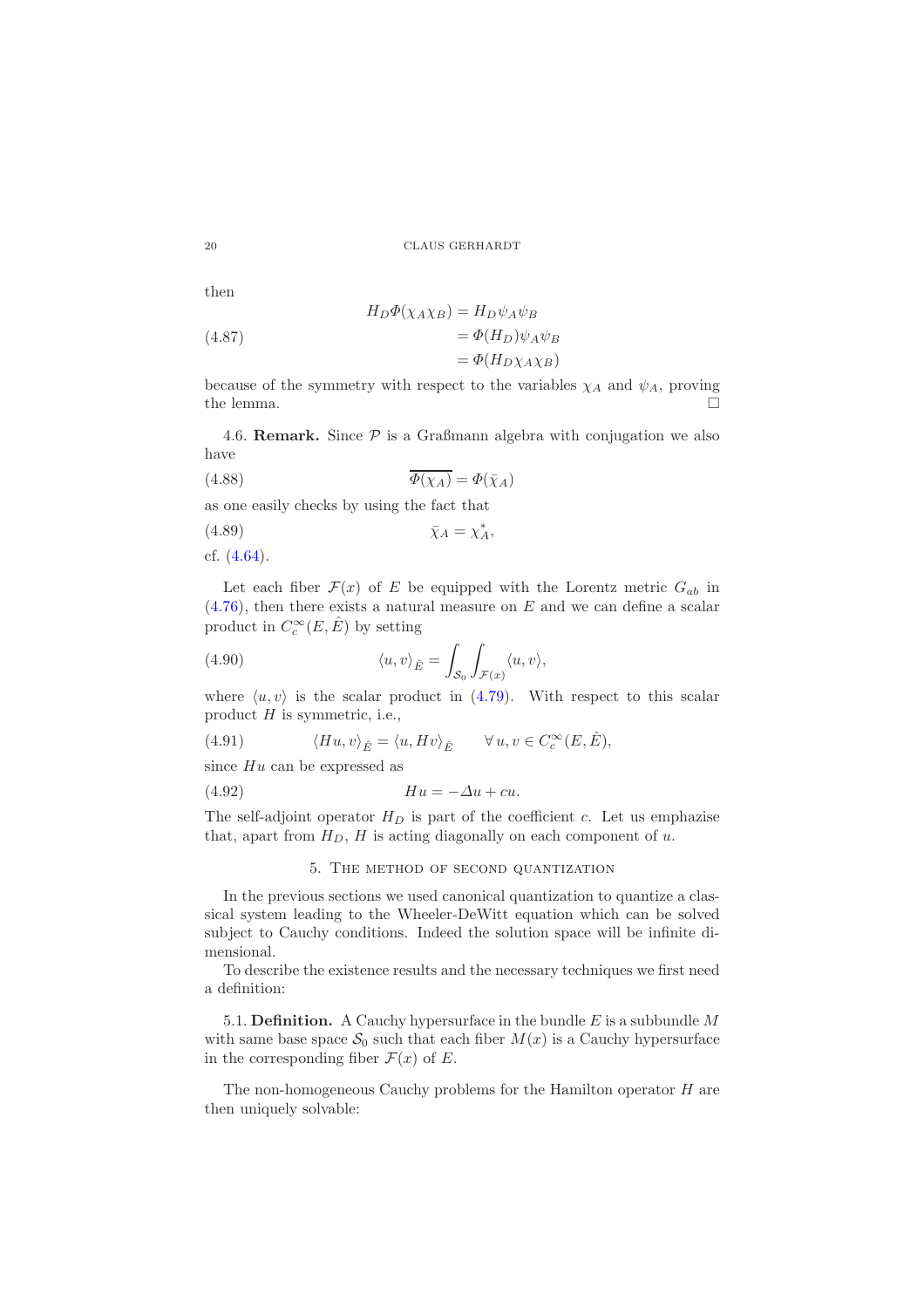then

(4.87)  
\n
$$
H_D \Phi(\chi_{A} \chi_B) = H_D \psi_A \psi_B
$$
\n
$$
= \Phi(H_D) \psi_A \psi_B
$$
\n
$$
= \Phi(H_D \chi_{A} \chi_B)
$$

because of the symmetry with respect to the variables  $\chi_A$  and  $\psi_A$ , proving the lemma.  $\Box$ 

4.6. **Remark.** Since  $P$  is a Graßmann algebra with conjugation we also have

(4.88) 
$$
\overline{\Phi(\chi_A)} = \Phi(\bar{\chi}_A)
$$

as one easily checks by using the fact that

$$
\bar{\chi}_A = \chi_A^*,
$$

cf. [\(4.64\)](#page-15-3).

Let each fiber  $\mathcal{F}(x)$  of E be equipped with the Lorentz metric  $G_{ab}$  in  $(4.76)$ , then there exists a natural measure on E and we can define a scalar product in  $C_c^{\infty}(E, \hat{E})$  by setting

(4.90) 
$$
\langle u, v \rangle_{\hat{E}} = \int_{\mathcal{S}_0} \int_{\mathcal{F}(x)} \langle u, v \rangle,
$$

where  $\langle u, v \rangle$  is the scalar product in [\(4.79\)](#page-17-2). With respect to this scalar product  $H$  is symmetric, i.e.,

(4.91) 
$$
\langle Hu, v \rangle_{\hat{E}} = \langle u, Hv \rangle_{\hat{E}} \qquad \forall u, v \in C_c^{\infty}(E, \hat{E}),
$$

since  $Hu$  can be expressed as

(4.92) Hu = −∆u + cu.

<span id="page-19-0"></span>The self-adjoint operator  $H_D$  is part of the coefficient c. Let us emphazise that, apart from  $H_D$ ,  $H$  is acting diagonally on each component of  $u$ .

#### 5. The method of second quantization

In the previous sections we used canonical quantization to quantize a classical system leading to the Wheeler-DeWitt equation which can be solved subject to Cauchy conditions. Indeed the solution space will be infinite dimensional.

To describe the existence results and the necessary techniques we first need a definition:

5.1. **Definition.** A Cauchy hypersurface in the bundle  $E$  is a subbundle  $M$ with same base space  $S_0$  such that each fiber  $M(x)$  is a Cauchy hypersurface in the corresponding fiber  $\mathcal{F}(x)$  of E.

The non-homogeneous Cauchy problems for the Hamilton operator H are then uniquely solvable: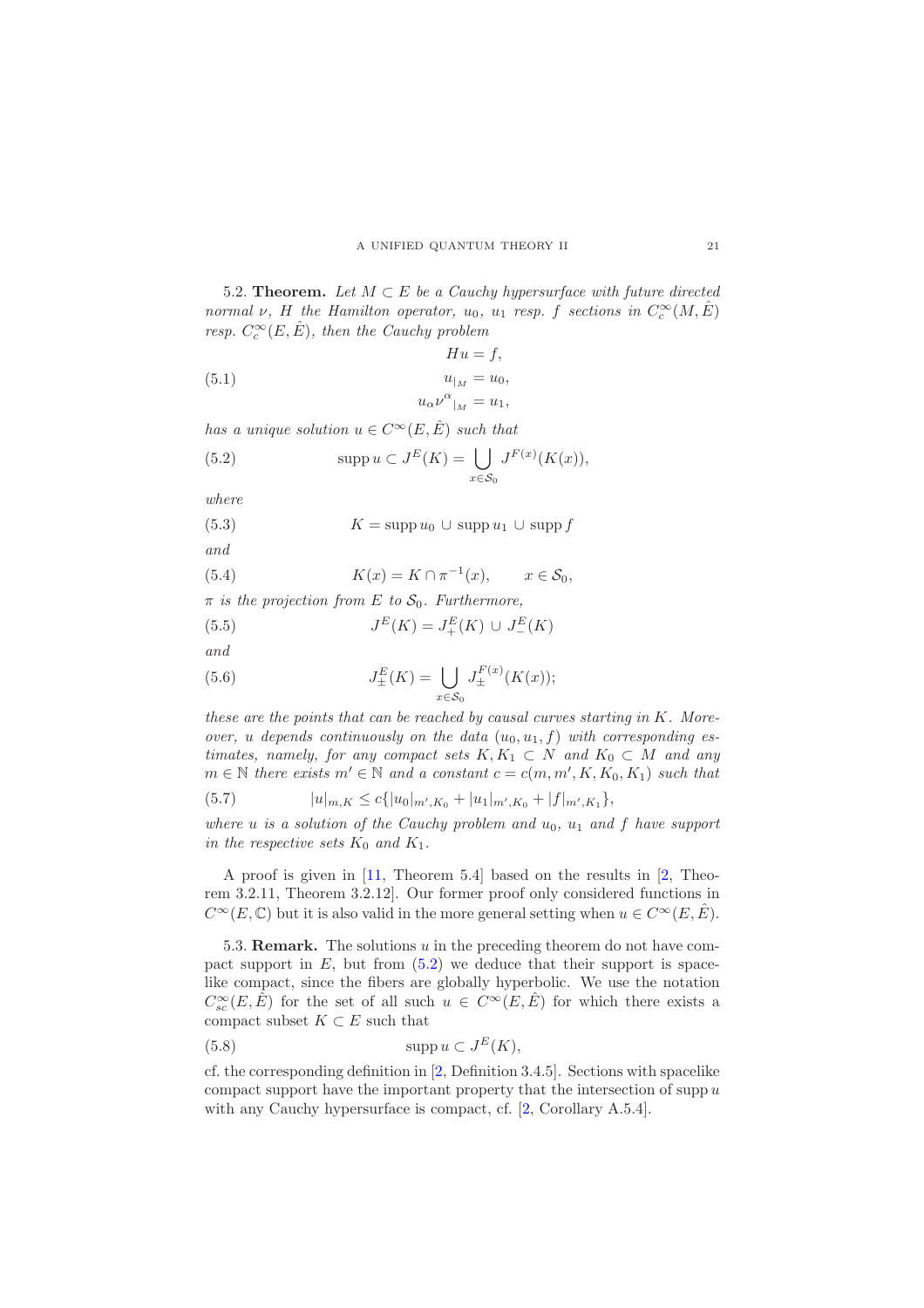<span id="page-20-1"></span>5.2. Theorem. Let  $M \subset E$  be a Cauchy hypersurface with future directed normal  $\nu$ , H the Hamilton operator,  $u_0$ ,  $u_1$  resp. f sections in  $C_c^{\infty}(M, \hat{E})$ resp.  $C_c^{\infty}(E, \hat{E})$ , then the Cauchy problem

(5.1) 
$$
Hu = f,
$$

$$
u_{|_M} = u_0,
$$

$$
u_{\alpha} \nu^{\alpha}{}_{|_M} = u_1,
$$

has a unique solution  $u \in C^{\infty}(E, \hat{E})$  such that

<span id="page-20-0"></span>(5.2) 
$$
\operatorname{supp} u \subset J^E(K) = \bigcup_{x \in \mathcal{S}_0} J^{F(x)}(K(x)),
$$

where

(5.3)  $K = \text{supp } u_0 \cup \text{supp } u_1 \cup \text{supp } f$ and

(5.4) 
$$
K(x) = K \cap \pi^{-1}(x), \qquad x \in S_0,
$$

 $\pi$  is the projection from E to  $S_0$ . Furthermore,

(5.5) 
$$
J^{E}(K) = J_{+}^{E}(K) \cup J_{-}^{E}(K)
$$

and

(5.6) 
$$
J_{\pm}^{E}(K) = \bigcup_{x \in S_{0}} J_{\pm}^{F(x)}(K(x));
$$

these are the points that can be reached by causal curves starting in  $K$ . Moreover, u depends continuously on the data  $(u_0, u_1, f)$  with corresponding estimates, namely, for any compact sets  $K, K_1 \subset N$  and  $K_0 \subset M$  and any  $m \in \mathbb{N}$  there exists  $m' \in \mathbb{N}$  and a constant  $c = c(m, m', K, K_0, K_1)$  such that

(5.7) 
$$
|u|_{m,K} \leq c\{|u_0|_{m',K_0} + |u_1|_{m',K_0} + |f|_{m',K_1}\},
$$

where  $u$  is a solution of the Cauchy problem and  $u_0$ ,  $u_1$  and  $f$  have support in the respective sets  $K_0$  and  $K_1$ .

A proof is given in [\[11,](#page-29-6) Theorem 5.4] based on the results in [\[2,](#page-29-12) Theorem 3.2.11, Theorem 3.2.12]. Our former proof only considered functions in  $C^{\infty}(E,\mathbb{C})$  but it is also valid in the more general setting when  $u \in C^{\infty}(E,\hat{E})$ .

<span id="page-20-2"></span>5.3. **Remark.** The solutions u in the preceding theorem do not have compact support in  $E$ , but from  $(5.2)$  we deduce that their support is spacelike compact, since the fibers are globally hyperbolic. We use the notation  $C_{sc}^{\infty}(E, \hat{E})$  for the set of all such  $u \in C^{\infty}(E, \hat{E})$  for which there exists a compact subset  $K \subset E$  such that

(5.8) 
$$
\operatorname{supp} u \subset J^E(K),
$$

cf. the corresponding definition in [\[2,](#page-29-12) Definition 3.4.5]. Sections with spacelike compact support have the important property that the intersection of supp  $u$ with any Cauchy hypersurface is compact, cf. [\[2,](#page-29-12) Corollary A.5.4].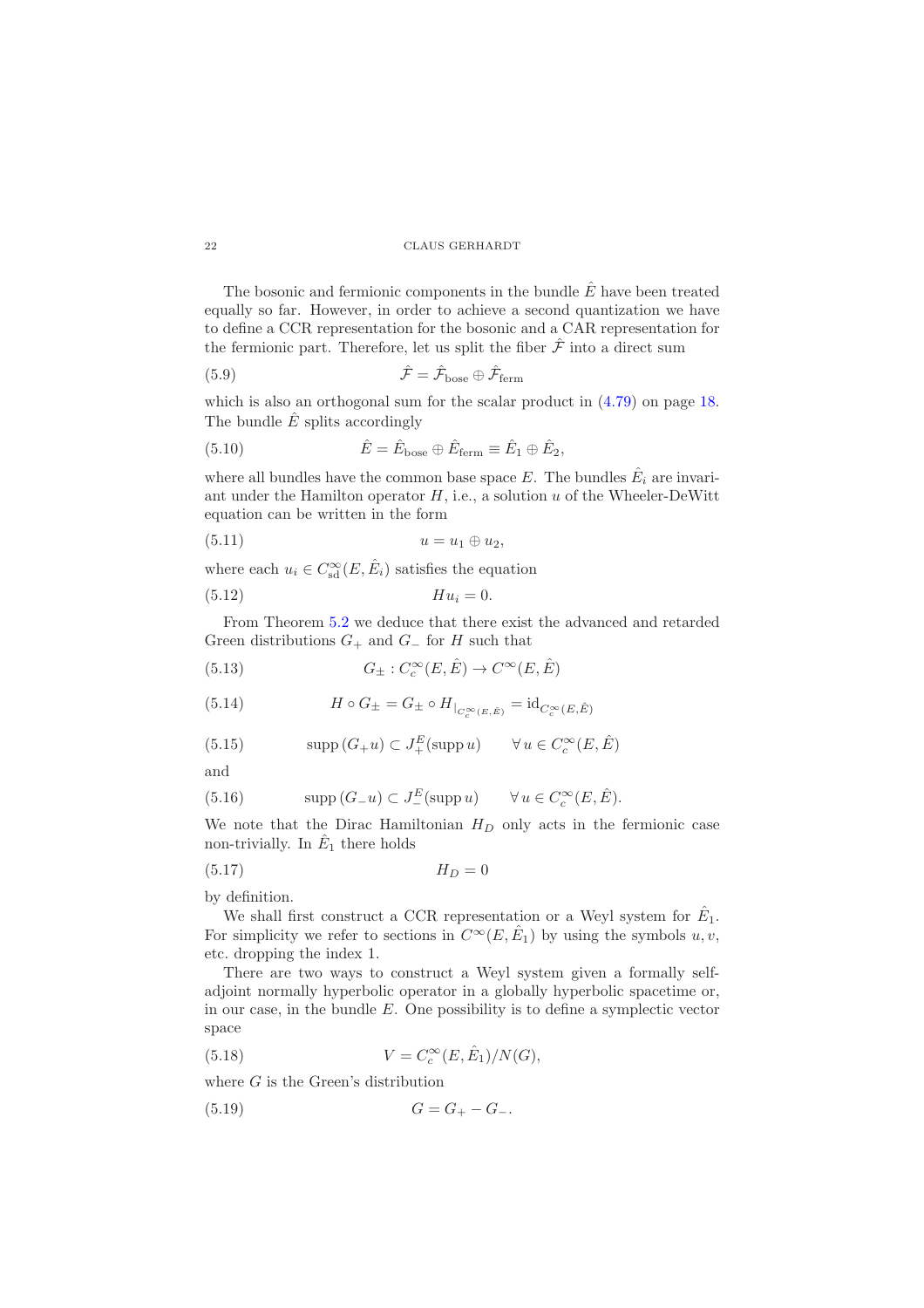The bosonic and fermionic components in the bundle  $\hat{E}$  have been treated equally so far. However, in order to achieve a second quantization we have to define a CCR representation for the bosonic and a CAR representation for the fermionic part. Therefore, let us split the fiber  $\hat{\mathcal{F}}$  into a direct sum

(5.9) 
$$
\hat{\mathcal{F}} = \hat{\mathcal{F}}_{\text{base}} \oplus \hat{\mathcal{F}}_{\text{ferm}}
$$

which is also an orthogonal sum for the scalar product in  $(4.79)$  on page [18.](#page-17-2) The bundle  $\hat{E}$  splits accordingly

(5.10) 
$$
\hat{E} = \hat{E}_{\text{base}} \oplus \hat{E}_{\text{ferm}} \equiv \hat{E}_1 \oplus \hat{E}_2,
$$

where all bundles have the common base space E. The bundles  $\hat{E}_i$  are invariant under the Hamilton operator  $H$ , i.e., a solution  $u$  of the Wheeler-DeWitt equation can be written in the form

$$
(5.11) \t\t u = u_1 \oplus u_2,
$$

where each  $u_i \in C_{sd}^{\infty}(E, \hat{E}_i)$  satisfies the equation

(5.12) Hu<sup>i</sup> = 0.

From Theorem [5.2](#page-20-1) we deduce that there exist the advanced and retarded Green distributions  $G_+$  and  $G_-$  for H such that

(5.13) 
$$
G_{\pm}: C_c^{\infty}(E, \hat{E}) \to C^{\infty}(E, \hat{E})
$$

<span id="page-21-2"></span>(5.14) 
$$
H \circ G_{\pm} = G_{\pm} \circ H|_{C_c^{\infty}(E,\hat{E})} = \mathrm{id}_{C_c^{\infty}(E,\hat{E})}
$$

<span id="page-21-0"></span>(5.15) 
$$
\operatorname{supp}(G_{+}u) \subset J_{+}^{E}(\operatorname{supp} u) \qquad \forall u \in C_{c}^{\infty}(E, \hat{E})
$$

and

<span id="page-21-1"></span>(5.16) 
$$
\text{supp}(G_{-}u) \subset J_{-}^{E}(\text{supp} u) \qquad \forall u \in C_{c}^{\infty}(E, \hat{E}).
$$

We note that the Dirac Hamiltonian  $H_D$  only acts in the fermionic case non-trivially. In  $\hat{E}_1$  there holds

$$
(5.17)\t\t\t H_D = 0
$$

by definition.

We shall first construct a CCR representation or a Weyl system for  $\hat{E}_1$ . For simplicity we refer to sections in  $C^{\infty}(E, \hat{E}_1)$  by using the symbols  $u, v$ , etc. dropping the index 1.

There are two ways to construct a Weyl system given a formally selfadjoint normally hyperbolic operator in a globally hyperbolic spacetime or, in our case, in the bundle E. One possibility is to define a symplectic vector space

<span id="page-21-3"></span>(5.18) 
$$
V = C_c^{\infty}(E, \hat{E}_1) / N(G),
$$

where  $G$  is the Green's distribution

(5.19) 
$$
G = G_{+} - G_{-}.
$$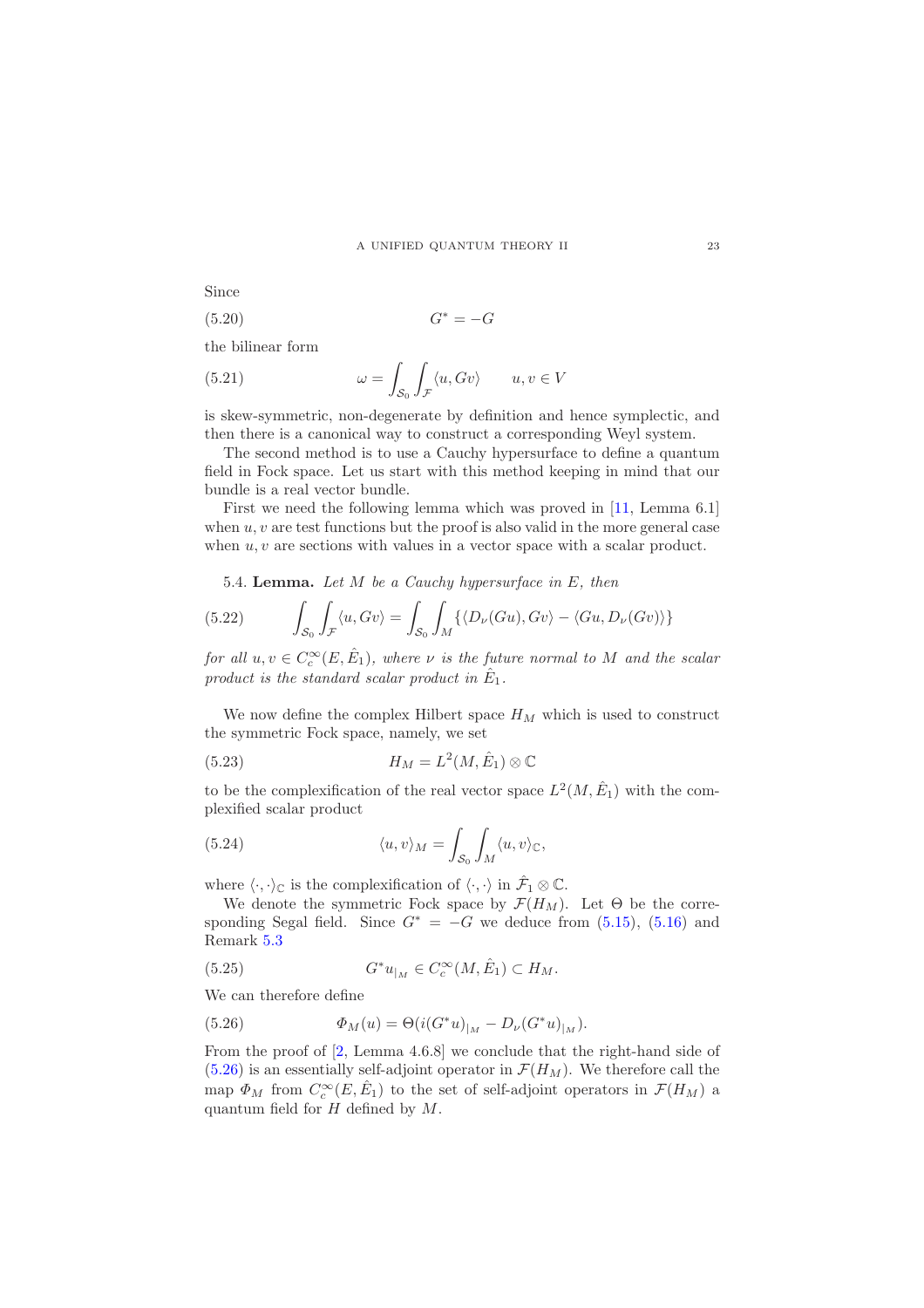Since

<span id="page-22-2"></span>
$$
(5.20)\t\t G^* = -G
$$

the bilinear form

<span id="page-22-1"></span>(5.21) 
$$
\omega = \int_{\mathcal{S}_0} \int_{\mathcal{F}} \langle u, Gv \rangle \qquad u, v \in V
$$

is skew-symmetric, non-degenerate by definition and hence symplectic, and then there is a canonical way to construct a corresponding Weyl system.

The second method is to use a Cauchy hypersurface to define a quantum field in Fock space. Let us start with this method keeping in mind that our bundle is a real vector bundle.

First we need the following lemma which was proved in [\[11,](#page-29-6) Lemma 6.1] when  $u, v$  are test functions but the proof is also valid in the more general case when  $u, v$  are sections with values in a vector space with a scalar product.

<span id="page-22-3"></span>5.4. **Lemma.** Let  $M$  be a Cauchy hypersurface in  $E$ , then

(5.22) 
$$
\int_{S_0} \int_{\mathcal{F}} \langle u, Gv \rangle = \int_{S_0} \int_M \{ \langle D_\nu(Gu), Gv \rangle - \langle Gu, D_\nu(Gv) \rangle \}
$$

for all  $u, v \in C_c^{\infty}(E, \hat{E}_1)$ , where  $\nu$  is the future normal to M and the scalar product is the standard scalar product in  $\hat{E}_1$ .

We now define the complex Hilbert space  $H_M$  which is used to construct the symmetric Fock space, namely, we set

(5.23) 
$$
H_M = L^2(M, \hat{E}_1) \otimes \mathbb{C}
$$

to be the complexification of the real vector space  $L^2(M, \hat{E}_1)$  with the complexified scalar product

(5.24) 
$$
\langle u, v \rangle_M = \int_{\mathcal{S}_0} \int_M \langle u, v \rangle_{\mathbb{C}},
$$

where  $\langle \cdot, \cdot \rangle_{\mathbb{C}}$  is the complexification of  $\langle \cdot, \cdot \rangle$  in  $\hat{\mathcal{F}}_1 \otimes \mathbb{C}$ .

We denote the symmetric Fock space by  $\mathcal{F}(H_M)$ . Let  $\Theta$  be the corresponding Segal field. Since  $G^* = -G$  we deduce from [\(5.15\)](#page-21-0), [\(5.16\)](#page-21-1) and Remark [5.3](#page-20-2)

(5.25) 
$$
G^*u_{|_M} \in C_c^{\infty}(M, \hat{E}_1) \subset H_M.
$$

We can therefore define

<span id="page-22-0"></span>(5.26) 
$$
\Phi_M(u) = \Theta(i(G^*u)_{|_M} - D_{\nu}(G^*u)_{|_M}).
$$

From the proof of [\[2,](#page-29-12) Lemma 4.6.8] we conclude that the right-hand side of  $(5.26)$  is an essentially self-adjoint operator in  $\mathcal{F}(H_M)$ . We therefore call the map  $\Phi_M$  from  $C_c^{\infty}(E, \hat{E}_1)$  to the set of self-adjoint operators in  $\mathcal{F}(H_M)$  a quantum field for  $H$  defined by  $M$ .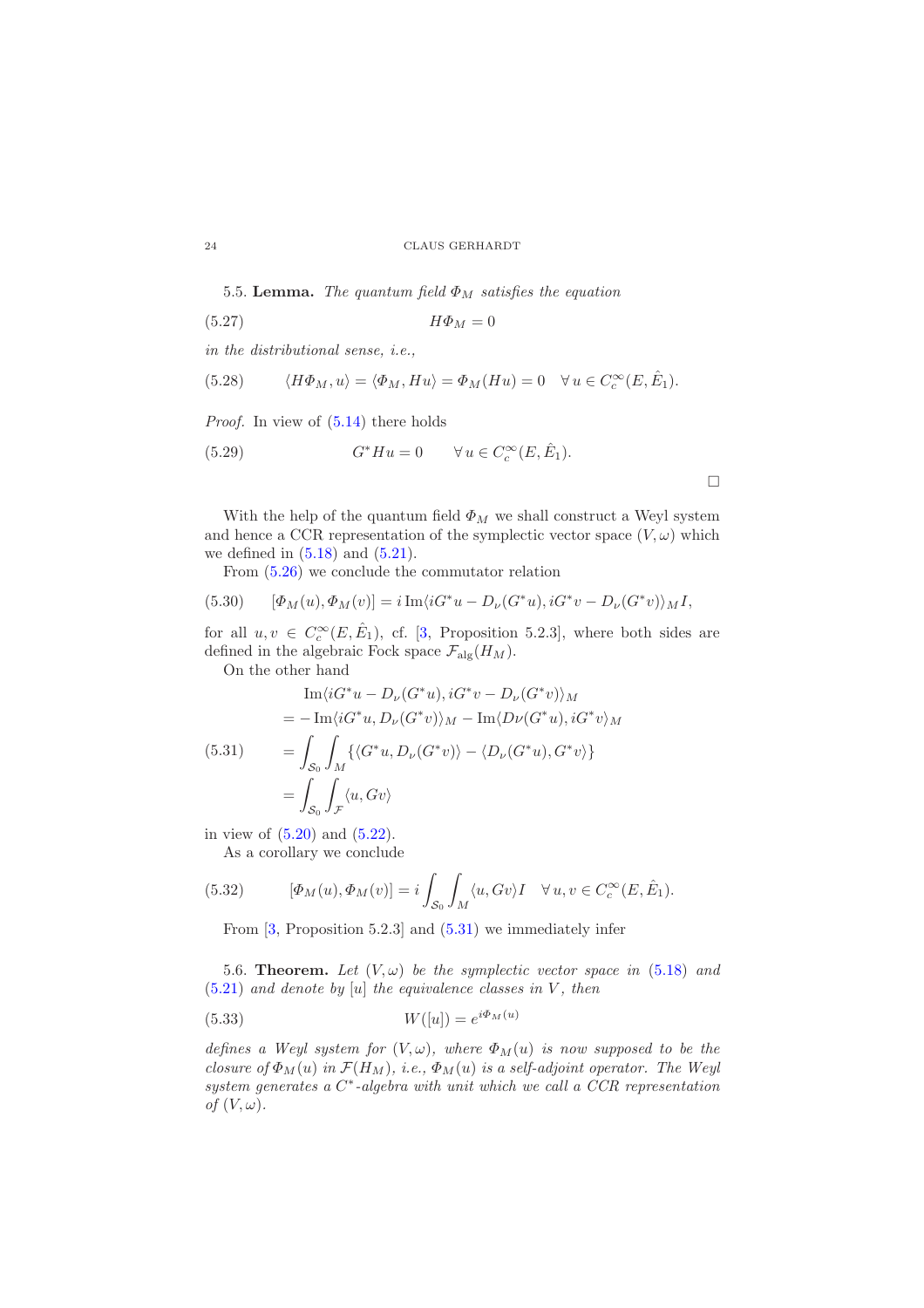5.5. Lemma. The quantum field  $\Phi_M$  satisfies the equation

$$
(5.27) \t\t H\Phi_M = 0
$$

in the distributional sense, i.e.,

(5.28) 
$$
\langle H\Phi_M, u \rangle = \langle \Phi_M, Hu \rangle = \Phi_M(Hu) = 0 \quad \forall u \in C_c^{\infty}(E, \hat{E}_1).
$$

Proof. In view of  $(5.14)$  there holds

(5.29) 
$$
G^*Hu = 0 \qquad \forall u \in C_c^{\infty}(E, \hat{E}_1).
$$

 $\Box$ 

With the help of the quantum field  $\Phi_M$  we shall construct a Weyl system and hence a CCR representation of the symplectic vector space  $(V, \omega)$  which we defined in  $(5.18)$  and  $(5.21)$ .

From [\(5.26\)](#page-22-0) we conclude the commutator relation

(5.30) 
$$
[\Phi_M(u), \Phi_M(v)] = i \operatorname{Im} \langle iG^*u - D_{\nu}(G^*u), iG^*v - D_{\nu}(G^*v) \rangle_M I,
$$

for all  $u, v \in C_c^{\infty}(E, \hat{E}_1)$ , cf. [\[3,](#page-29-13) Proposition 5.2.3], where both sides are defined in the algebraic Fock space  $\mathcal{F}_{\text{alg}}(H_M)$ .

On the other hand

<span id="page-23-0"></span>
$$
\operatorname{Im}\langle iG^*u - D_{\nu}(G^*u), iG^*v - D_{\nu}(G^*v)\rangle_M
$$
  
=  $-\operatorname{Im}\langle iG^*u, D_{\nu}(G^*v)\rangle_M - \operatorname{Im}\langle D_{\nu}(G^*u), iG^*v\rangle_M$   
(5.31)  

$$
= \int_{\mathcal{S}_0} \int_M \{\langle G^*u, D_{\nu}(G^*v)\rangle - \langle D_{\nu}(G^*u), G^*v\rangle\}
$$
  

$$
= \int_{\mathcal{S}_0} \int_{\mathcal{F}} \langle u, Gv\rangle
$$

in view of [\(5.20\)](#page-22-2) and [\(5.22\)](#page-22-3).

As a corollary we conclude

(5.32) 
$$
[\Phi_M(u), \Phi_M(v)] = i \int_{\mathcal{S}_0} \int_M \langle u, Gv \rangle I \quad \forall u, v \in C_c^{\infty}(E, \hat{E}_1).
$$

From [\[3,](#page-29-13) Proposition 5.2.3] and [\(5.31\)](#page-23-0) we immediately infer

<span id="page-23-1"></span>5.6. Theorem. Let  $(V, \omega)$  be the symplectic vector space in [\(5.18\)](#page-21-3) and  $(5.21)$  and denote by [u] the equivalence classes in V, then

$$
(5.33)\qquad W([u]) = e^{i\Phi_M(u)}
$$

defines a Weyl system for  $(V, \omega)$ , where  $\Phi_M(u)$  is now supposed to be the closure of  $\Phi_M(u)$  in  $\mathcal{F}(H_M)$ , i.e.,  $\Phi_M(u)$  is a self-adjoint operator. The Weyl system generates a C<sup>\*</sup>-algebra with unit which we call a CCR representation of  $(V, \omega)$ .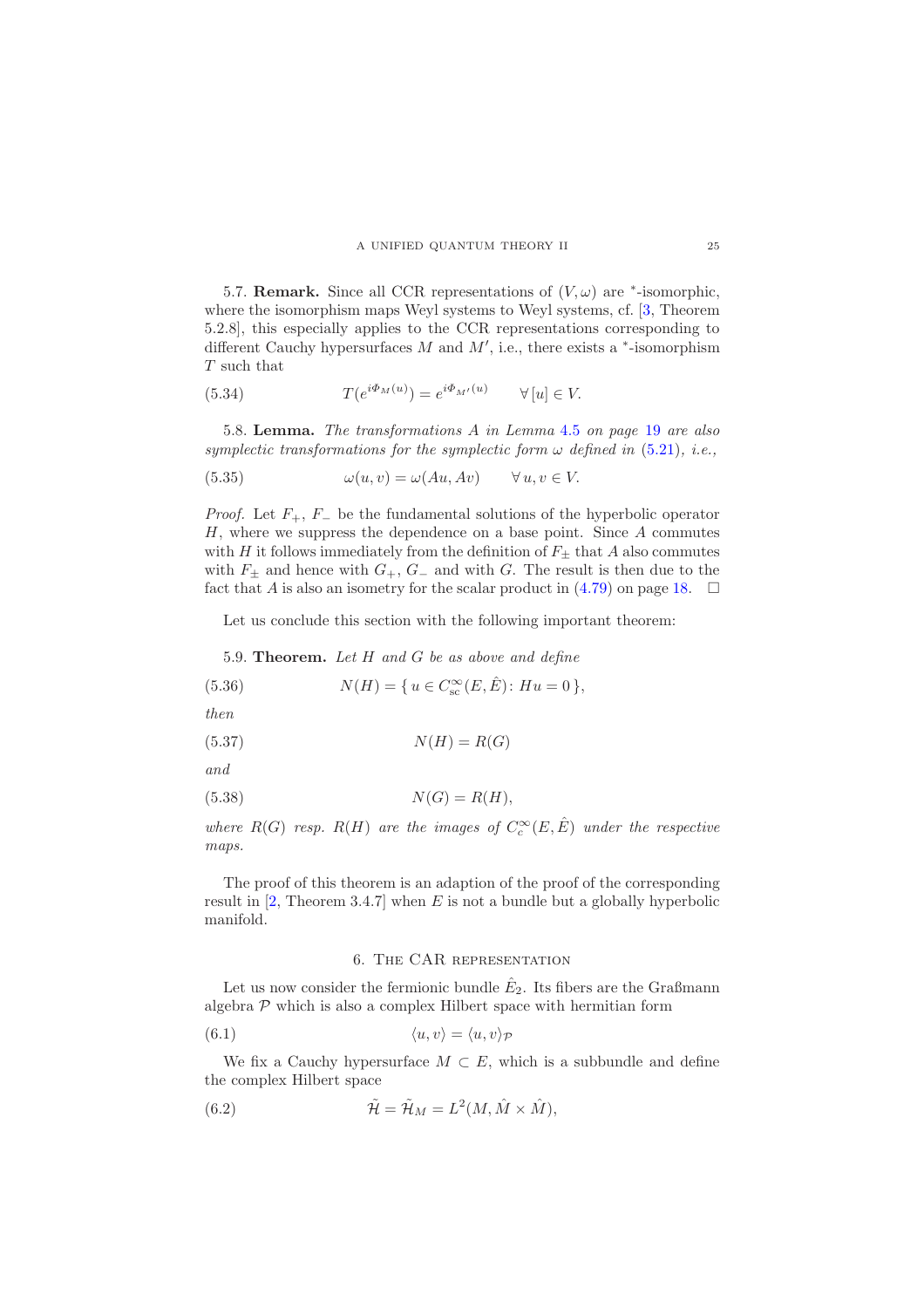<span id="page-24-1"></span>5.7. **Remark.** Since all CCR representations of  $(V, \omega)$  are  $*$ -isomorphic, where the isomorphism maps Weyl systems to Weyl systems, cf. [\[3,](#page-29-13) Theorem 5.2.8], this especially applies to the CCR representations corresponding to different Cauchy hypersurfaces  $M$  and  $M'$ , i.e., there exists a  $*$ -isomorphism T such that

(5.34) 
$$
T(e^{i\Phi_M(u)}) = e^{i\Phi_{M'}(u)} \qquad \forall [u] \in V.
$$

5.8. Lemma. The transformations A in Lemma [4.5](#page-18-0) on page [19](#page-18-0) are also symplectic transformations for the symplectic form  $\omega$  defined in [\(5.21\)](#page-22-1), i.e.,

(5.35) 
$$
\omega(u, v) = \omega(Au, Av) \qquad \forall u, v \in V.
$$

*Proof.* Let  $F_+$ ,  $F_-$  be the fundamental solutions of the hyperbolic operator H, where we suppress the dependence on a base point. Since A commutes with H it follows immediately from the definition of  $F_{\pm}$  that A also commutes with  $F_{\pm}$  and hence with  $G_{+}$ ,  $G_{-}$  and with G. The result is then due to the fact that A is also an isometry for the scalar product in  $(4.79)$  on page [18.](#page-17-2)  $\Box$ 

Let us conclude this section with the following important theorem:

5.9. Theorem. Let H and G be as above and define

(5.36) 
$$
N(H) = \{ u \in C_{\text{sc}}^{\infty}(E, \hat{E}) : Hu = 0 \},
$$

then

$$
(5.37) \t\t N(H) = R(G)
$$

and

$$
(5.38)\t\t N(G) = R(H),
$$

where  $R(G)$  resp.  $R(H)$  are the images of  $C_c^{\infty}(E, \hat{E})$  under the respective maps.

The proof of this theorem is an adaption of the proof of the corresponding result in  $[2,$  Theorem 3.4.7] when E is not a bundle but a globally hyperbolic manifold.

### 6. The CAR representation

<span id="page-24-0"></span>Let us now consider the fermionic bundle  $\hat{E}_2$ . Its fibers are the Graßmann algebra  $P$  which is also a complex Hilbert space with hermitian form

(6.1) 
$$
\langle u, v \rangle = \langle u, v \rangle_{\mathcal{P}}
$$

We fix a Cauchy hypersurface  $M \subset E$ , which is a subbundle and define the complex Hilbert space

(6.2) 
$$
\tilde{\mathcal{H}} = \tilde{\mathcal{H}}_M = L^2(M, \hat{M} \times \hat{M}),
$$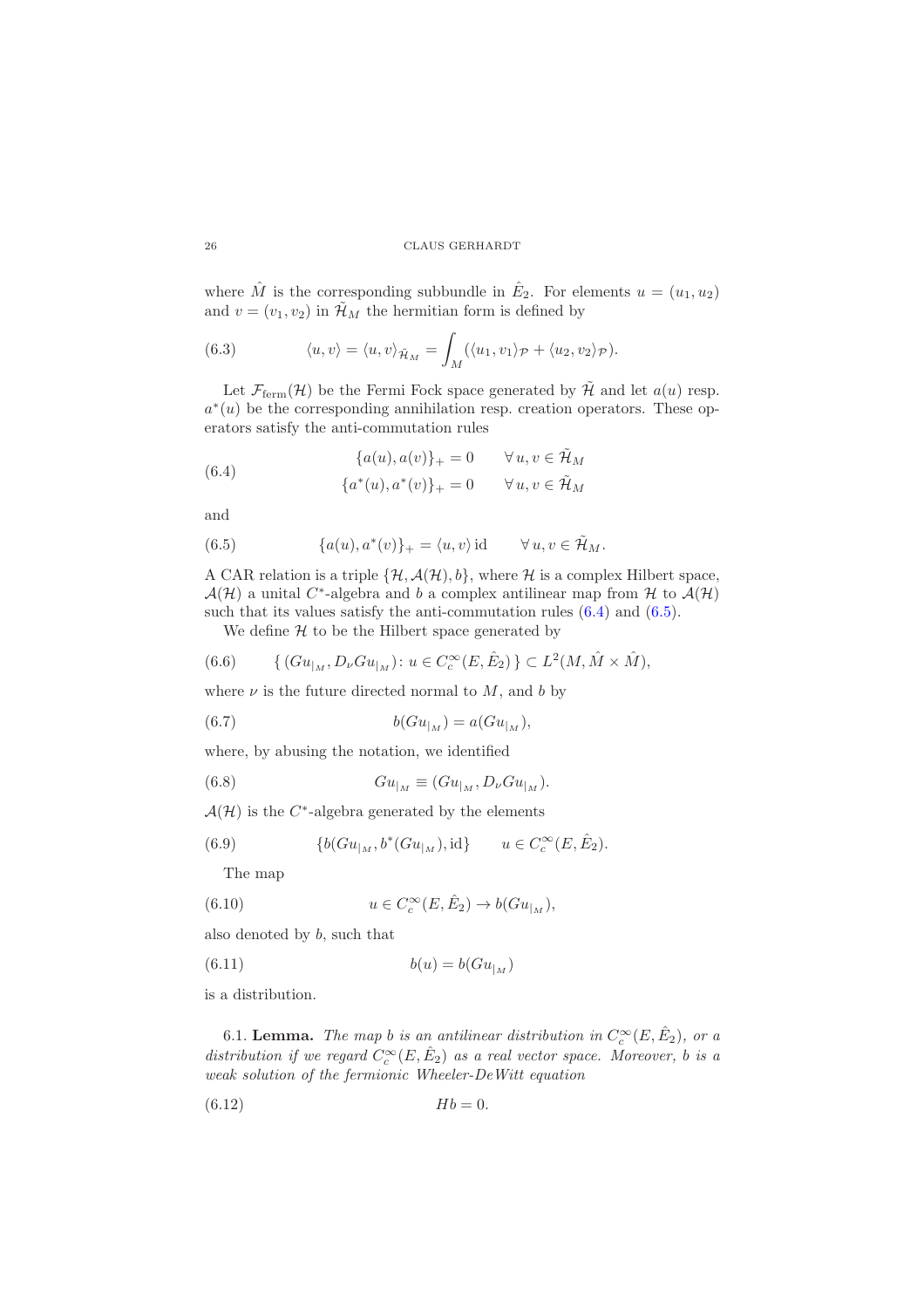where  $\hat{M}$  is the corresponding subbundle in  $\hat{E}_2$ . For elements  $u = (u_1, u_2)$ and  $v = (v_1, v_2)$  in  $\mathcal{H}_M$  the hermitian form is defined by

(6.3) 
$$
\langle u, v \rangle = \langle u, v \rangle_{\tilde{\mathcal{H}}_M} = \int_M (\langle u_1, v_1 \rangle_{\mathcal{P}} + \langle u_2, v_2 \rangle_{\mathcal{P}}).
$$

Let  $\mathcal{F}_{\text{ferm}}(\mathcal{H})$  be the Fermi Fock space generated by  $\tilde{\mathcal{H}}$  and let  $a(u)$  resp.  $a^*(u)$  be the corresponding annihilation resp. creation operators. These operators satisfy the anti-commutation rules

<span id="page-25-0"></span>(6.4) 
$$
{a(u), a(v)}_{+} = 0 \quad \forall u, v \in \tilde{\mathcal{H}}_M
$$

$$
{a^*(u), a^*(v)}_{+} = 0 \quad \forall u, v \in \tilde{\mathcal{H}}_M
$$

and

<span id="page-25-1"></span>(6.5) 
$$
\{a(u), a^*(v)\}_+ = \langle u, v \rangle \text{ id } \forall u, v \in \tilde{\mathcal{H}}_M.
$$

A CAR relation is a triple  $\{\mathcal{H}, \mathcal{A}(\mathcal{H}), b\}$ , where  $\mathcal{H}$  is a complex Hilbert space,  $\mathcal{A}(\mathcal{H})$  a unital C<sup>\*</sup>-algebra and b a complex antilinear map from H to  $\mathcal{A}(\mathcal{H})$ such that its values satisfy the anti-commutation rules  $(6.4)$  and  $(6.5)$ .

We define  $H$  to be the Hilbert space generated by

(6.6) {
$$
\{ (Gu_{|_M}, D_{\nu}Gu_{|_M}) : u \in C_c^{\infty}(E, \hat{E}_2) \} \subset L^2(M, \hat{M} \times \hat{M}),
$$

where  $\nu$  is the future directed normal to M, and b by

(6.7) 
$$
b(Gu_{|_M}) = a(Gu_{|_M}),
$$

where, by abusing the notation, we identified

(6.8) 
$$
Gu_{|_M} \equiv (Gu_{|_M}, D_{\nu}Gu_{|_M}).
$$

 $\mathcal{A}(\mathcal{H})$  is the C<sup>\*</sup>-algebra generated by the elements

(6.9) 
$$
\{b(Gu_{|_M}, b^*(Gu_{|_M}), \mathrm{id}\} \qquad u \in C_c^{\infty}(E, \hat{E}_2).
$$

The map

(6.10) 
$$
u \in C_c^{\infty}(E, \hat{E}_2) \to b(Gu_{|_M}),
$$

also denoted by b, such that

$$
(6.11)\qquad \qquad b(u) = b(Gu_{|_M})
$$

is a distribution.

6.1. Lemma. The map b is an antilinear distribution in  $C_c^{\infty}(E, \hat{E}_2)$ , or a distribution if we regard  $C_c^{\infty}(E, \hat{E}_2)$  as a real vector space. Moreover, b is a weak solution of the fermionic Wheeler-DeWitt equation

$$
(6.12) \t\t\t Hb = 0.
$$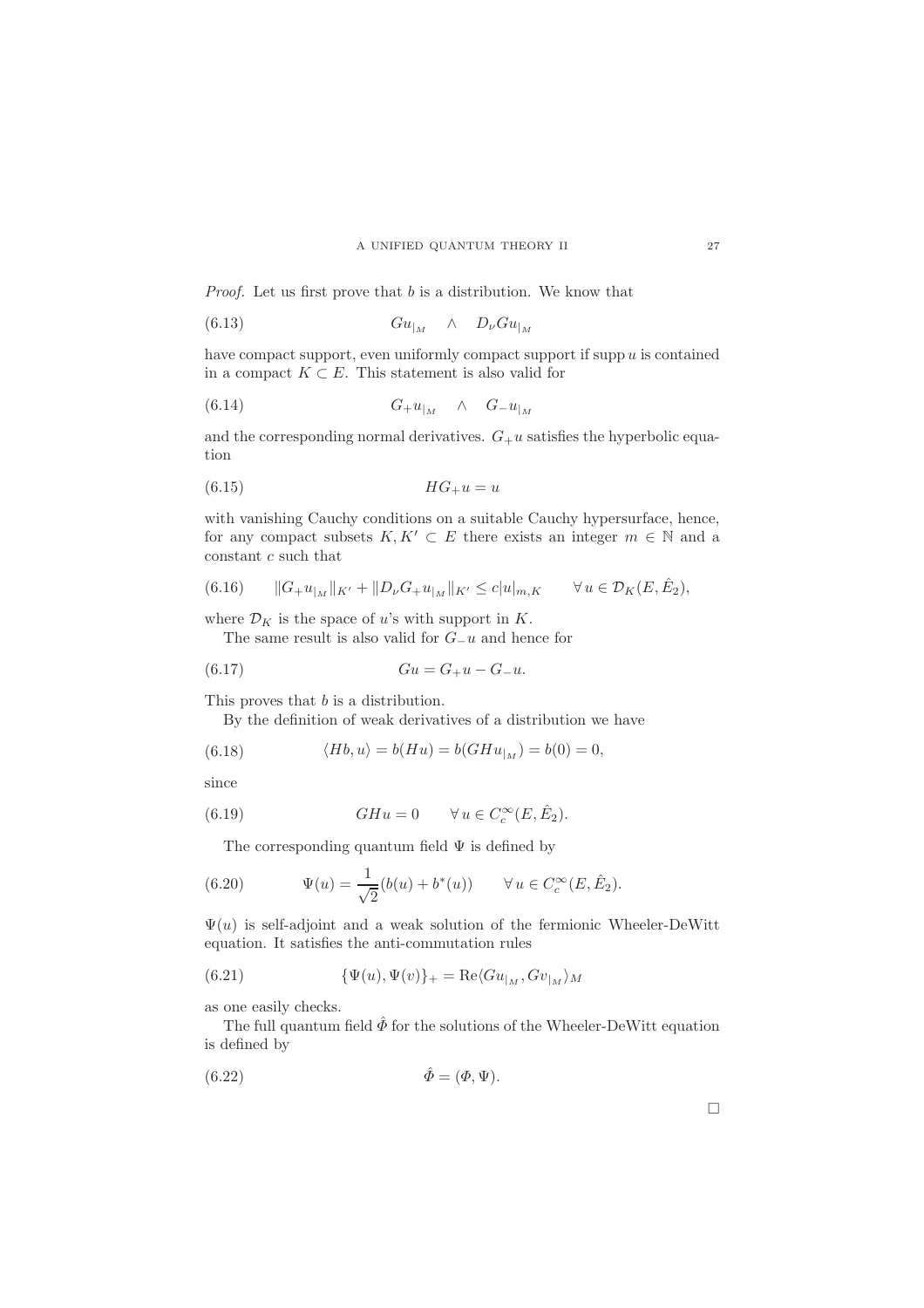Proof. Let us first prove that b is a distribution. We know that

$$
(6.13) \t\t\t Gu_{|_M} \t\t\t \wedge \t\t D_{\nu}Gu_{|_M}
$$

have compact support, even uniformly compact support if supp  $u$  is contained in a compact  $K \subset E$ . This statement is also valid for

$$
(6.14) \tG+u|M \t\wedge \tG-u|M
$$

and the corresponding normal derivatives.  $G_{+}u$  satisfies the hyperbolic equation

$$
(6.15) \t\t\t HG_+u = u
$$

with vanishing Cauchy conditions on a suitable Cauchy hypersurface, hence, for any compact subsets  $K, K' \subset E$  there exists an integer  $m \in \mathbb{N}$  and a constant  $c$  such that

(6.16) 
$$
\|G_+u_{|_M}\|_{K'}+\|D_\nu G_+u_{|_M}\|_{K'}\leq c|u|_{m,K} \quad \forall u \in \mathcal{D}_K(E,\hat{E}_2),
$$

where  $\mathcal{D}_K$  is the space of u's with support in K.

The same result is also valid for G−u and hence for

(6.17) 
$$
Gu = G_+ u - G_- u.
$$

This proves that *b* is a distribution.

By the definition of weak derivatives of a distribution we have

(6.18) 
$$
\langle Hb, u \rangle = b(Hu) = b(GHu_{|_M}) = b(0) = 0,
$$

since

(6.19) 
$$
GHu = 0 \qquad \forall u \in C_c^{\infty}(E, \hat{E}_2).
$$

The corresponding quantum field  $\Psi$  is defined by

(6.20) 
$$
\Psi(u) = \frac{1}{\sqrt{2}} (b(u) + b^*(u)) \qquad \forall u \in C_c^{\infty}(E, \hat{E}_2).
$$

 $\Psi(u)$  is self-adjoint and a weak solution of the fermionic Wheeler-DeWitt equation. It satisfies the anti-commutation rules

(6.21) 
$$
\{\Psi(u), \Psi(v)\}_+ = \text{Re}\langle Gu_{|_M}, Gv_{|_M}\rangle_M
$$

as one easily checks.

The full quantum field  $\hat{\phi}$  for the solutions of the Wheeler-DeWitt equation is defined by

$$
\hat{\Phi} = (\Phi, \Psi).
$$

 $\Box$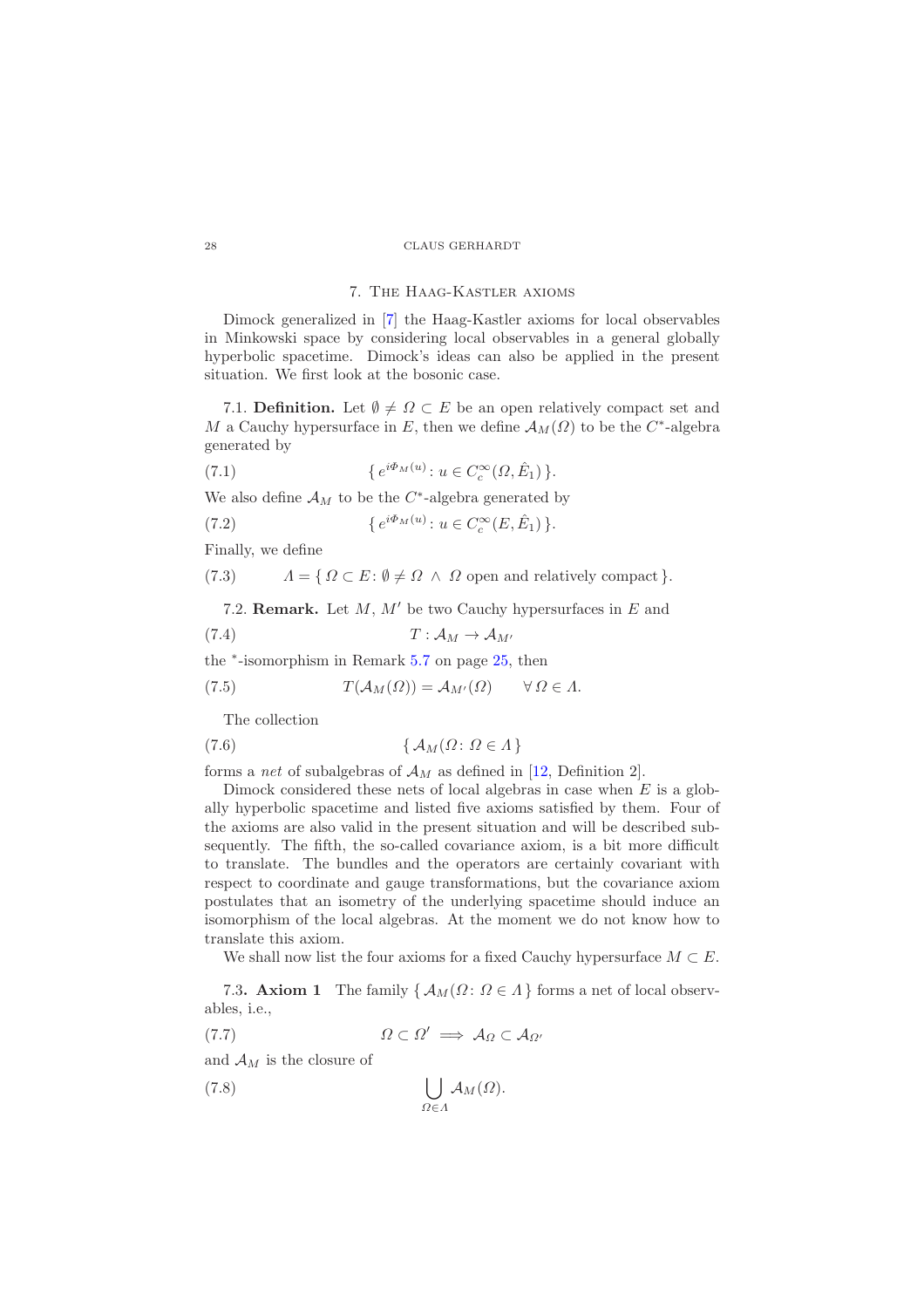#### 7. The Haag-Kastler axioms

<span id="page-27-0"></span>Dimock generalized in [\[7\]](#page-29-14) the Haag-Kastler axioms for local observables in Minkowski space by considering local observables in a general globally hyperbolic spacetime. Dimock's ideas can also be applied in the present situation. We first look at the bosonic case.

7.1. Definition. Let  $\emptyset \neq \Omega \subset E$  be an open relatively compact set and M a Cauchy hypersurface in E, then we define  $\mathcal{A}_M(\Omega)$  to be the C<sup>\*</sup>-algebra generated by

(7.1) 
$$
\{e^{i\Phi_M(u)} : u \in C_c^{\infty}(\Omega, \hat{E}_1)\}.
$$

We also define  $A_M$  to be the  $C^*$ -algebra generated by

(7.2) 
$$
\{e^{i\Phi_M(u)} : u \in C_c^{\infty}(E, \hat{E}_1)\}.
$$

Finally, we define

(7.3)  $\Lambda = \{ \Omega \subset E : \emptyset \neq \Omega \land \Omega \text{ open and relatively compact} \}.$ 

7.2. **Remark.** Let  $M$ ,  $M'$  be two Cauchy hypersurfaces in  $E$  and

$$
(7.4) \t\t T: \mathcal{A}_M \to \mathcal{A}_{M'}
$$

the <sup>∗</sup> -isomorphism in Remark [5.7](#page-24-1) on page [25,](#page-24-1) then

(7.5) 
$$
T(\mathcal{A}_M(\Omega)) = \mathcal{A}_{M'}(\Omega) \quad \forall \Omega \in \Lambda.
$$

The collection

$$
(7.6) \qquad \{ \mathcal{A}_M(\Omega; \Omega \in \Lambda \}
$$

forms a *net* of subalgebras of  $\mathcal{A}_M$  as defined in [\[12,](#page-29-15) Definition 2].

Dimock considered these nets of local algebras in case when  $E$  is a globally hyperbolic spacetime and listed five axioms satisfied by them. Four of the axioms are also valid in the present situation and will be described subsequently. The fifth, the so-called covariance axiom, is a bit more difficult to translate. The bundles and the operators are certainly covariant with respect to coordinate and gauge transformations, but the covariance axiom postulates that an isometry of the underlying spacetime should induce an isomorphism of the local algebras. At the moment we do not know how to translate this axiom.

We shall now list the four axioms for a fixed Cauchy hypersurface  $M \subset E$ .

7.3. Axiom 1 The family  $\{ \mathcal{A}_M(\Omega : \Omega \in \Lambda \}$  forms a net of local observables, i.e.,

$$
(7.7) \t\t\t \Omega \subset \Omega' \implies \mathcal{A}_{\Omega} \subset \mathcal{A}_{\Omega'}
$$

and  $A_M$  is the closure of

$$
\bigcup_{\Omega \in \Lambda} \mathcal{A}_M(\Omega).
$$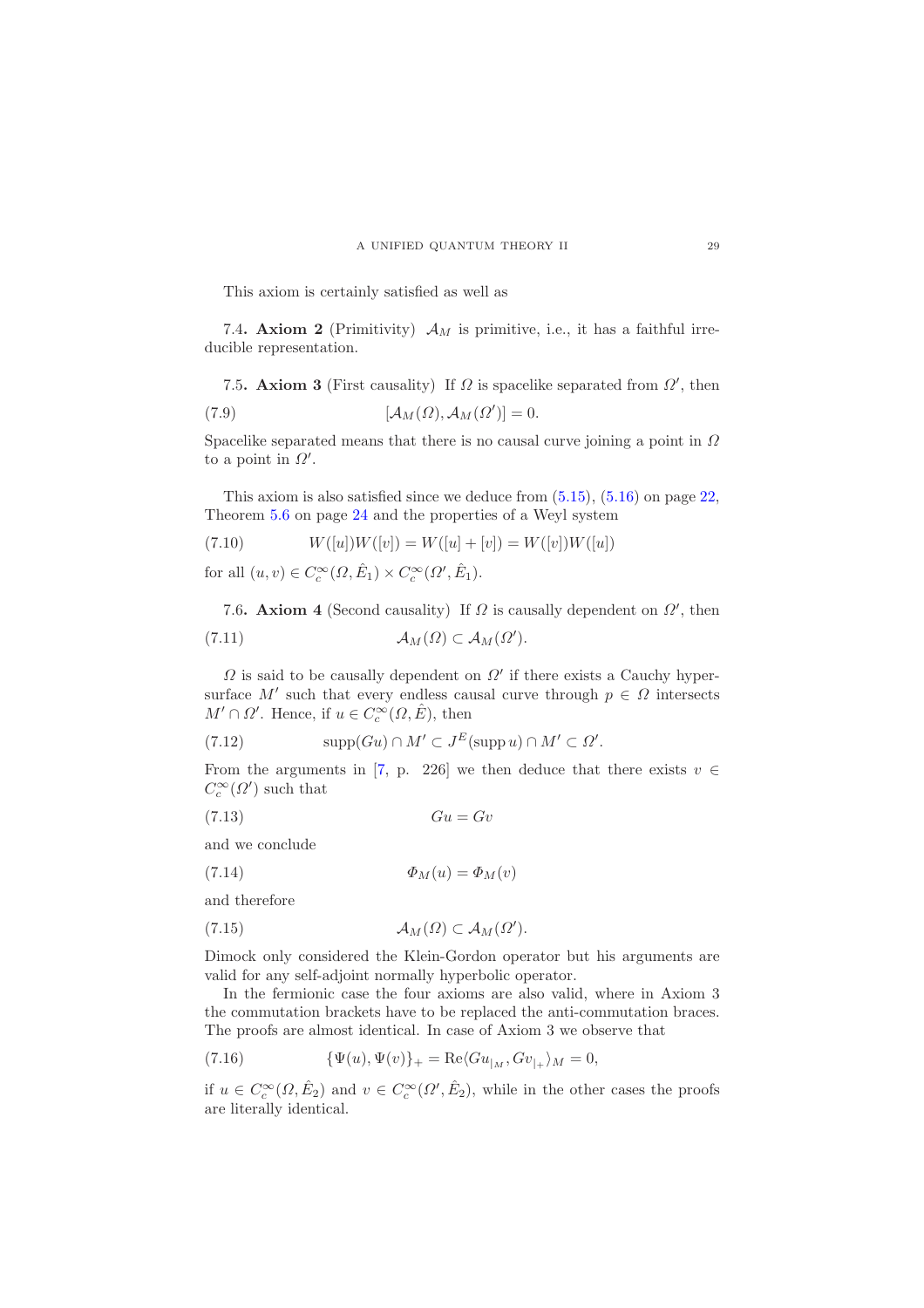This axiom is certainly satisfied as well as

7.4. Axiom 2 (Primitivity)  $\mathcal{A}_M$  is primitive, i.e., it has a faithful irreducible representation.

7.5. Axiom 3 (First causality) If  $\Omega$  is spacelike separated from  $\Omega'$ , then

(7.9) 
$$
[\mathcal{A}_M(\Omega), \mathcal{A}_M(\Omega')] = 0.
$$

Spacelike separated means that there is no causal curve joining a point in  $\Omega$ to a point in  $\Omega'$ .

This axiom is also satisfied since we deduce from [\(5.15\)](#page-21-0), [\(5.16\)](#page-21-1) on page [22,](#page-21-1) Theorem [5.6](#page-23-1) on page [24](#page-23-1) and the properties of a Weyl system

(7.10) 
$$
W([u])W([v]) = W([u] + [v]) = W([v])W([u])
$$

for all  $(u, v) \in C_c^{\infty}(\Omega, \hat{E}_1) \times C_c^{\infty}(\Omega', \hat{E}_1)$ .

7.6. Axiom 4 (Second causality) If  $\Omega$  is causally dependent on  $\Omega'$ , then (7.11)  $\mathcal{A}_M(\Omega) \subset \mathcal{A}_M(\Omega').$ 

 $\Omega$  is said to be causally dependent on  $\Omega'$  if there exists a Cauchy hypersurface M' such that every endless causal curve through  $p \in \Omega$  intersects  $M' \cap \Omega'$ . Hence, if  $u \in C_c^{\infty}(\Omega, \hat{E})$ , then

(7.12) 
$$
\mathrm{supp}(Gu) \cap M' \subset J^E(\mathrm{supp}\, u) \cap M' \subset \Omega'.
$$

From the arguments in [\[7,](#page-29-14) p. 226] we then deduce that there exists  $v \in$  $C_c^{\infty}(\Omega')$  such that

$$
(7.13)\t\t\t Gu = Gv
$$

and we conclude

(7.14) Φ<sup>M</sup> (u) = Φ<sup>M</sup> (v)

and therefore

$$
(7.15) \t\t \t\t \mathcal{A}_M(\Omega) \subset \mathcal{A}_M(\Omega').
$$

Dimock only considered the Klein-Gordon operator but his arguments are valid for any self-adjoint normally hyperbolic operator.

In the fermionic case the four axioms are also valid, where in Axiom 3 the commutation brackets have to be replaced the anti-commutation braces. The proofs are almost identical. In case of Axiom 3 we observe that

(7.16) 
$$
\{\Psi(u), \Psi(v)\}_+ = \text{Re}\langle Gu_{|_M}, Gv_{|_+}\rangle_M = 0,
$$

if  $u \in C_c^{\infty}(\Omega, \hat{E}_2)$  and  $v \in C_c^{\infty}(\Omega', \hat{E}_2)$ , while in the other cases the proofs are literally identical.